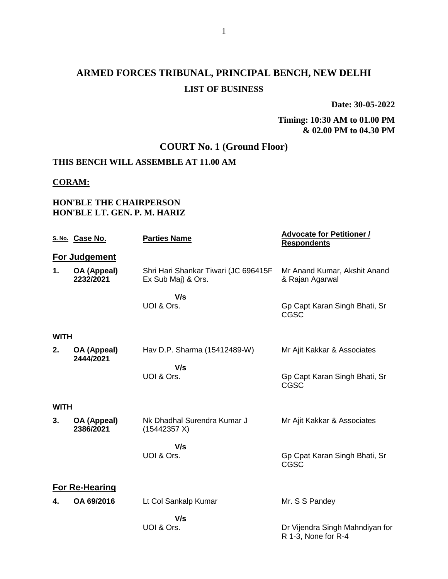# **ARMED FORCES TRIBUNAL, PRINCIPAL BENCH, NEW DELHI LIST OF BUSINESS**

**Date: 30-05-2022**

#### **Timing: 10:30 AM to 01.00 PM & 02.00 PM to 04.30 PM**

# **COURT No. 1 (Ground Floor)**

# **THIS BENCH WILL ASSEMBLE AT 11.00 AM**

#### **CORAM:**

## **HON'BLE THE CHAIRPERSON HON'BLE LT. GEN. P. M. HARIZ**

|             | S. No. Case No.          | <b>Parties Name</b>                                        | <b>Advocate for Petitioner /</b><br><b>Respondents</b> |
|-------------|--------------------------|------------------------------------------------------------|--------------------------------------------------------|
|             | For Judgement            |                                                            |                                                        |
| 1.          | OA (Appeal)<br>2232/2021 | Shri Hari Shankar Tiwari (JC 696415F<br>Ex Sub Maj) & Ors. | Mr Anand Kumar, Akshit Anand<br>& Rajan Agarwal        |
|             |                          | V/s                                                        |                                                        |
|             |                          | UOI & Ors.                                                 | Gp Capt Karan Singh Bhati, Sr<br><b>CGSC</b>           |
| <b>WITH</b> |                          |                                                            |                                                        |
| 2.          | OA (Appeal)<br>2444/2021 | Hav D.P. Sharma (15412489-W)                               | Mr Ajit Kakkar & Associates                            |
|             |                          | V/s<br>UOI & Ors.                                          |                                                        |
|             |                          |                                                            | Gp Capt Karan Singh Bhati, Sr<br>CGSC                  |
| <b>WITH</b> |                          |                                                            |                                                        |
| 3.          | OA (Appeal)<br>2386/2021 | Nk Dhadhal Surendra Kumar J<br>(15442357 X)                | Mr Ajit Kakkar & Associates                            |
|             |                          | V/s                                                        |                                                        |
|             |                          | UOI & Ors.                                                 | Gp Cpat Karan Singh Bhati, Sr<br>CGSC                  |
|             | <b>For Re-Hearing</b>    |                                                            |                                                        |
| 4.          | OA 69/2016               | Lt Col Sankalp Kumar                                       | Mr. S S Pandey                                         |
|             |                          | V/s                                                        |                                                        |
|             |                          | UOI & Ors.                                                 | Dr Vijendra Singh Mahndiyan for<br>R 1-3, None for R-4 |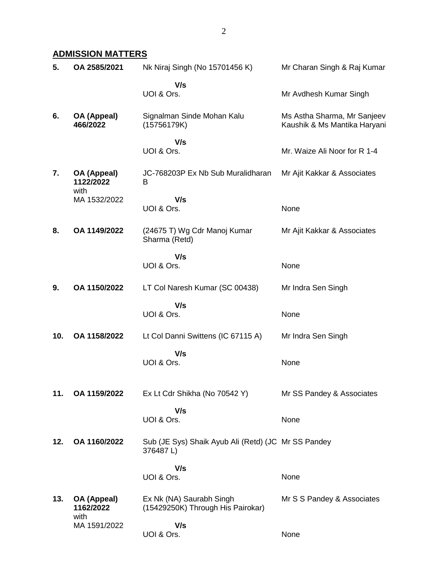# **ADMISSION MATTERS**

| 5.  | OA 2585/2021             | Nk Niraj Singh (No 15701456 K)                                  | Mr Charan Singh & Raj Kumar                                 |
|-----|--------------------------|-----------------------------------------------------------------|-------------------------------------------------------------|
|     |                          | V/s<br>UOI & Ors.                                               | Mr Avdhesh Kumar Singh                                      |
| 6.  | OA (Appeal)<br>466/2022  | Signalman Sinde Mohan Kalu<br>(15756179K)                       | Ms Astha Sharma, Mr Sanjeev<br>Kaushik & Ms Mantika Haryani |
|     |                          | V/s<br>UOI & Ors.                                               | Mr. Waize Ali Noor for R 1-4                                |
| 7.  | OA (Appeal)<br>1122/2022 | JC-768203P Ex Nb Sub Muralidharan<br>B                          | Mr Ajit Kakkar & Associates                                 |
|     | with<br>MA 1532/2022     | V/s<br>UOI & Ors.                                               | None                                                        |
| 8.  | OA 1149/2022             | (24675 T) Wg Cdr Manoj Kumar<br>Sharma (Retd)                   | Mr Ajit Kakkar & Associates                                 |
|     |                          | V/s<br>UOI & Ors.                                               | None                                                        |
| 9.  | OA 1150/2022             | LT Col Naresh Kumar (SC 00438)                                  | Mr Indra Sen Singh                                          |
|     |                          | V/s<br>UOI & Ors.                                               | None                                                        |
| 10. | OA 1158/2022             | Lt Col Danni Swittens (IC 67115 A)                              | Mr Indra Sen Singh                                          |
|     |                          | V/s<br>UOI & Ors.                                               | None                                                        |
| 11. | OA 1159/2022             | Ex Lt Cdr Shikha (No 70542 Y)                                   | Mr SS Pandey & Associates                                   |
|     |                          | V/s<br>UOI & Ors.                                               | None                                                        |
| 12. | OA 1160/2022             | Sub (JE Sys) Shaik Ayub Ali (Retd) (JC Mr SS Pandey<br>376487L) |                                                             |
|     |                          | V/s<br>UOI & Ors.                                               | None                                                        |
| 13. | OA (Appeal)<br>1162/2022 | Ex Nk (NA) Saurabh Singh<br>(15429250K) Through His Pairokar)   | Mr S S Pandey & Associates                                  |
|     | with<br>MA 1591/2022     | V/s<br>UOI & Ors.                                               | None                                                        |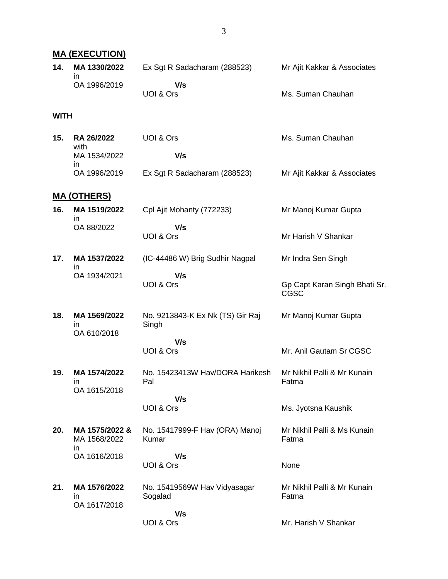#### **MA (EXECUTION)**

| 14. | MA 1330/2022 | Ex Sgt R Sadacharam (288523) | Mr Ajit Kakkar & Associates |
|-----|--------------|------------------------------|-----------------------------|
|     | OA 1996/2019 | V/s                          |                             |
|     |              | UOI & Ors                    | Ms. Suman Chauhan           |

#### **WITH**

| 15. | RA 26/2022<br>with | UOI & Ors                    | Ms. Suman Chauhan           |
|-----|--------------------|------------------------------|-----------------------------|
|     | MA 1534/2022       | V/s                          |                             |
|     | ın<br>OA 1996/2019 | Ex Sgt R Sadacharam (288523) | Mr Ajit Kakkar & Associates |

#### **MA (OTHERS)**

| 16.<br>MA 1519/2022<br>ın | Cpl Ajit Mohanty (772233) | Mr Manoj Kumar Gupta |
|---------------------------|---------------------------|----------------------|
| OA 88/2022                | V/s                       |                      |
|                           | UOI & Ors                 | Mr Harish V Shankar  |

**17. MA 1537/2022** in OA 1934/2021 (IC-44486 W) Brig Sudhir Nagpal  **V/s** UOI & Ors Mr Indra Sen Singh Gp Capt Karan Singh Bhati Sr.

CGSC

None

Mr. Anil Gautam Sr CGSC

Ms. Jyotsna Kaushik

Mr. Harish V Shankar

**18. MA 1569/2022** in OA 610/2018 No. 9213843-K Ex Nk (TS) Gir Raj Singh Mr Manoj Kumar Gupta

 **V/s** UOI & Ors

**19. MA 1574/2022** in OA 1615/2018 No. 15423413W Hav/DORA Harikesh Pal Mr Nikhil Palli & Mr Kunain Fatma

> **V/s** UOI & Ors

**20. MA 1575/2022 &** MA 1568/2022 in OA 1616/2018 No. 15417999-F Hav (ORA) Manoj Kumar  **V/s** Mr Nikhil Palli & Ms Kunain Fatma

UOI & Ors

**21. MA 1576/2022** in OA 1617/2018 No. 15419569W Hav Vidyasagar Sogalad  **V/s** Mr Nikhil Palli & Mr Kunain Fatma

UOI & Ors

3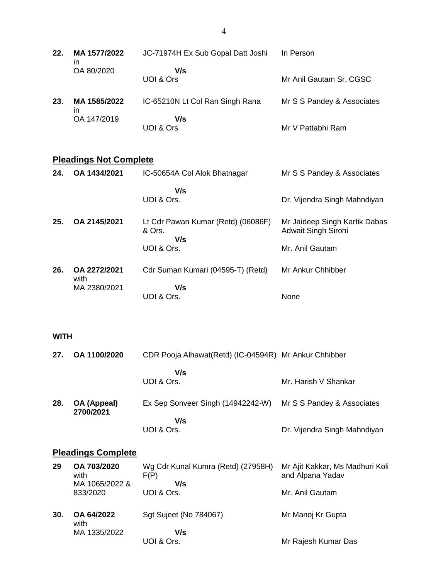| 22. | MA 1577/2022<br>in | JC-71974H Ex Sub Gopal Datt Joshi | In Person                  |
|-----|--------------------|-----------------------------------|----------------------------|
|     | OA 80/2020         | V/s<br>UOI & Ors                  | Mr Anil Gautam Sr, CGSC    |
| 23. | MA 1585/2022<br>ın | IC-65210N Lt Col Ran Singh Rana   | Mr S S Pandey & Associates |
|     | OA 147/2019        | V/s<br>UOI & Ors                  | Mr V Pattabhi Ram          |

# **Pleadings Not Complete**

| 24. | OA 1434/2021         | IC-50654A Col Alok Bhatnagar                        | Mr S S Pandey & Associates                           |
|-----|----------------------|-----------------------------------------------------|------------------------------------------------------|
|     |                      | V/s                                                 |                                                      |
|     |                      | UOI & Ors.                                          | Dr. Vijendra Singh Mahndiyan                         |
| 25. | OA 2145/2021         | Lt Cdr Pawan Kumar (Retd) (06086F)<br>& Ors.<br>V/s | Mr Jaideep Singh Kartik Dabas<br>Adwait Singh Sirohi |
|     |                      | UOI & Ors.                                          | Mr. Anil Gautam                                      |
| 26. | OA 2272/2021<br>with | Cdr Suman Kumari (04595-T) (Retd)                   | Mr Ankur Chhibber                                    |
|     | MA 2380/2021         | V/s                                                 |                                                      |
|     |                      | UOI & Ors.                                          | None                                                 |

# **WITH**

| 27. | OA 1100/2020             | CDR Pooja Alhawat(Retd) (IC-04594R) Mr Ankur Chhibber |                              |
|-----|--------------------------|-------------------------------------------------------|------------------------------|
|     |                          | V/s<br>UOI & Ors.                                     | Mr. Harish V Shankar         |
| 28. | OA (Appeal)<br>2700/2021 | Ex Sep Sonveer Singh (14942242-W)                     | Mr S S Pandey & Associates   |
|     |                          | V/s<br>UOI & Ors.                                     | Dr. Vijendra Singh Mahndiyan |

# **Pleadings Complete**

| 29  | OA 703/2020<br>with<br>MA 1065/2022 & | Wg Cdr Kunal Kumra (Retd) (27958H)<br>F(P)<br>V/s | Mr Ajit Kakkar, Ms Madhuri Koli<br>and Alpana Yadav |
|-----|---------------------------------------|---------------------------------------------------|-----------------------------------------------------|
|     | 833/2020                              | UOI & Ors.                                        | Mr. Anil Gautam                                     |
| 30. | OA 64/2022<br>with                    | Sgt Sujeet (No 784067)                            | Mr Manoj Kr Gupta                                   |
|     | MA 1335/2022                          | V/s<br>UOI & Ors.                                 | Mr Rajesh Kumar Das                                 |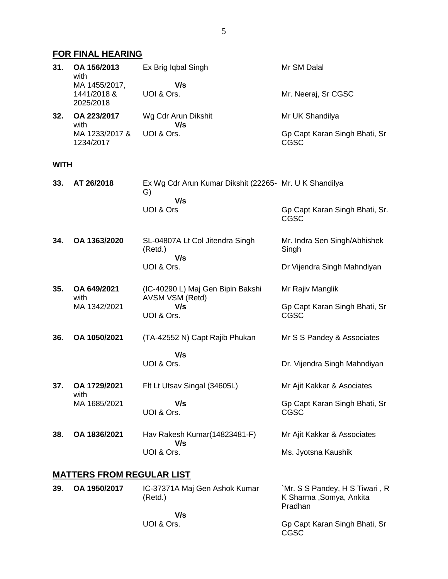# **FOR FINAL HEARING**

| 31.         | OA 156/2013<br>with                       | Ex Brig Iqbal Singh                                                 | Mr SM Dalal                                                           |
|-------------|-------------------------------------------|---------------------------------------------------------------------|-----------------------------------------------------------------------|
|             | MA 1455/2017,<br>1441/2018 &<br>2025/2018 | V/s<br>UOI & Ors.                                                   | Mr. Neeraj, Sr CGSC                                                   |
| 32.         | OA 223/2017<br>with                       | Wg Cdr Arun Dikshit<br>V/s                                          | Mr UK Shandilya                                                       |
|             | MA 1233/2017 &<br>1234/2017               | UOI & Ors.                                                          | Gp Capt Karan Singh Bhati, Sr<br><b>CGSC</b>                          |
| <b>WITH</b> |                                           |                                                                     |                                                                       |
| 33.         | AT 26/2018                                | Ex Wg Cdr Arun Kumar Dikshit (22265- Mr. U K Shandilya<br>G)<br>V/s |                                                                       |
|             |                                           | UOI & Ors                                                           | Gp Capt Karan Singh Bhati, Sr.<br><b>CGSC</b>                         |
| 34.         | OA 1363/2020                              | SL-04807A Lt Col Jitendra Singh<br>(Retd.)<br>V/s                   | Mr. Indra Sen Singh/Abhishek<br>Singh                                 |
|             |                                           | UOI & Ors.                                                          | Dr Vijendra Singh Mahndiyan                                           |
| 35.         | OA 649/2021<br>with                       | (IC-40290 L) Maj Gen Bipin Bakshi<br>AVSM VSM (Retd)                | Mr Rajiv Manglik                                                      |
|             | MA 1342/2021                              | V/s<br>UOI & Ors.                                                   | Gp Capt Karan Singh Bhati, Sr<br><b>CGSC</b>                          |
| 36.         | OA 1050/2021                              | (TA-42552 N) Capt Rajib Phukan                                      | Mr S S Pandey & Associates                                            |
|             |                                           | V/s<br>UOI & Ors.                                                   | Dr. Vijendra Singh Mahndiyan                                          |
| 37.         | OA 1729/2021<br>with                      | Flt Lt Utsav Singal (34605L)                                        | Mr Ajit Kakkar & Asociates                                            |
|             | MA 1685/2021                              | V/s<br>UOI & Ors.                                                   | Gp Capt Karan Singh Bhati, Sr<br>CGSC                                 |
| 38.         | OA 1836/2021                              | Hav Rakesh Kumar(14823481-F)<br>V/s                                 | Mr Ajit Kakkar & Associates                                           |
|             |                                           | UOI & Ors.                                                          | Ms. Jyotsna Kaushik                                                   |
|             | <b>MATTERS FROM REGULAR LIST</b>          |                                                                     |                                                                       |
| 39.         | OA 1950/2017                              | IC-37371A Maj Gen Ashok Kumar<br>(Retd.)                            | `Mr. S S Pandey, H S Tiwari, R<br>K Sharma , Somya, Ankita<br>Pradhan |
|             |                                           | V/s<br>UOI & Ors.                                                   | Gp Capt Karan Singh Bhati, Sr<br>CGSC                                 |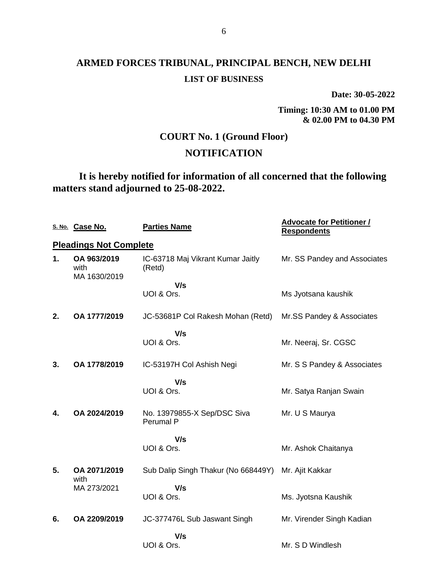# **ARMED FORCES TRIBUNAL, PRINCIPAL BENCH, NEW DELHI LIST OF BUSINESS**

**Date: 30-05-2022**

**Timing: 10:30 AM to 01.00 PM & 02.00 PM to 04.30 PM**

# **COURT No. 1 (Ground Floor) NOTIFICATION**

# **It is hereby notified for information of all concerned that the following matters stand adjourned to 25-08-2022.**

|    | S. No. Case No.                     | <b>Parties Name</b>                         | <b>Advocate for Petitioner /</b><br><b>Respondents</b> |
|----|-------------------------------------|---------------------------------------------|--------------------------------------------------------|
|    | <b>Pleadings Not Complete</b>       |                                             |                                                        |
| 1. | OA 963/2019<br>with<br>MA 1630/2019 | IC-63718 Maj Vikrant Kumar Jaitly<br>(Retd) | Mr. SS Pandey and Associates                           |
|    |                                     | V/s                                         |                                                        |
|    |                                     | UOI & Ors.                                  | Ms Jyotsana kaushik                                    |
| 2. | OA 1777/2019                        | JC-53681P Col Rakesh Mohan (Retd)           | Mr.SS Pandey & Associates                              |
|    |                                     | V/s                                         |                                                        |
|    |                                     | UOI & Ors.                                  | Mr. Neeraj, Sr. CGSC                                   |
| 3. | OA 1778/2019                        | IC-53197H Col Ashish Negi                   | Mr. S S Pandey & Associates                            |
|    |                                     | V/s                                         |                                                        |
|    |                                     | UOI & Ors.                                  | Mr. Satya Ranjan Swain                                 |
| 4. | OA 2024/2019                        | No. 13979855-X Sep/DSC Siva<br>Perumal P    | Mr. U S Maurya                                         |
|    |                                     | V/s                                         |                                                        |
|    |                                     | UOI & Ors.                                  | Mr. Ashok Chaitanya                                    |
| 5. | OA 2071/2019<br>with                | Sub Dalip Singh Thakur (No 668449Y)         | Mr. Ajit Kakkar                                        |
|    | MA 273/2021                         | V/s                                         |                                                        |
|    |                                     | UOI & Ors.                                  | Ms. Jyotsna Kaushik                                    |
| 6. | OA 2209/2019                        | JC-377476L Sub Jaswant Singh                | Mr. Virender Singh Kadian                              |
|    |                                     | V/s                                         |                                                        |
|    |                                     | UOI & Ors.                                  | Mr. S D Windlesh                                       |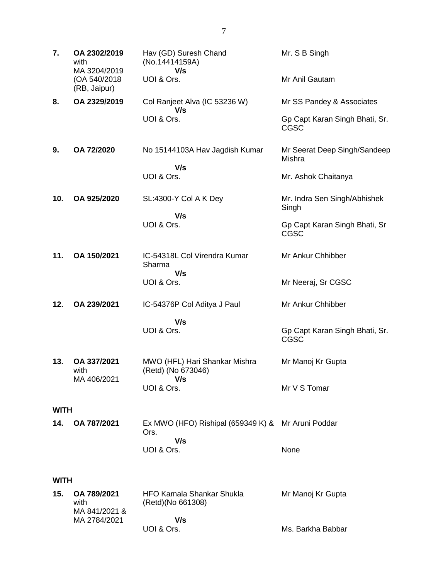| 7.          | OA 2302/2019<br>with<br>MA 3204/2019<br>(OA 540/2018)<br>(RB, Jaipur) | Hav (GD) Suresh Chand<br>(No.14414159A)<br>V/s                    | Mr. S B Singh                                 |
|-------------|-----------------------------------------------------------------------|-------------------------------------------------------------------|-----------------------------------------------|
|             |                                                                       | UOI & Ors.                                                        | Mr Anil Gautam                                |
| 8.          | OA 2329/2019                                                          | Col Ranjeet Alva (IC 53236 W)<br>V/s                              | Mr SS Pandey & Associates                     |
|             |                                                                       | UOI & Ors.                                                        | Gp Capt Karan Singh Bhati, Sr.<br><b>CGSC</b> |
| 9.          | OA 72/2020                                                            | No 15144103A Hav Jagdish Kumar<br>V/s                             | Mr Seerat Deep Singh/Sandeep<br>Mishra        |
|             |                                                                       | UOI & Ors.                                                        | Mr. Ashok Chaitanya                           |
| 10.         | OA 925/2020                                                           | SL:4300-Y Col A K Dey                                             | Mr. Indra Sen Singh/Abhishek<br>Singh         |
|             |                                                                       | V/s<br>UOI & Ors.                                                 | Gp Capt Karan Singh Bhati, Sr<br>CGSC         |
| 11.         | OA 150/2021                                                           | IC-54318L Col Virendra Kumar<br>Sharma                            | Mr Ankur Chhibber                             |
|             |                                                                       | V/s<br>UOI & Ors.                                                 | Mr Neeraj, Sr CGSC                            |
| 12.         | OA 239/2021                                                           | IC-54376P Col Aditya J Paul                                       | Mr Ankur Chhibber                             |
|             |                                                                       | V/s<br>UOI & Ors.                                                 | Gp Capt Karan Singh Bhati, Sr.<br><b>CGSC</b> |
| 13.         | OA 337/2021<br>with                                                   | MWO (HFL) Hari Shankar Mishra<br>(Retd) (No 673046)               | Mr Manoj Kr Gupta                             |
|             | MA 406/2021                                                           | V/s<br>UOI & Ors.                                                 | Mr V S Tomar                                  |
| <b>WITH</b> |                                                                       |                                                                   |                                               |
| 14.         | OA 787/2021                                                           | Ex MWO (HFO) Rishipal (659349 K) & Mr Aruni Poddar<br>Ors.<br>V/s |                                               |
|             |                                                                       | UOI & Ors.                                                        | None                                          |
| <b>WITH</b> |                                                                       |                                                                   |                                               |
| 15.         | OA 789/2021<br>with<br>MA 841/2021 &                                  | <b>HFO Kamala Shankar Shukla</b><br>(Retd)(No 661308)             | Mr Manoj Kr Gupta                             |
|             | MA 2784/2021                                                          | V/s<br>UOI & Ors.                                                 | Ms. Barkha Babbar                             |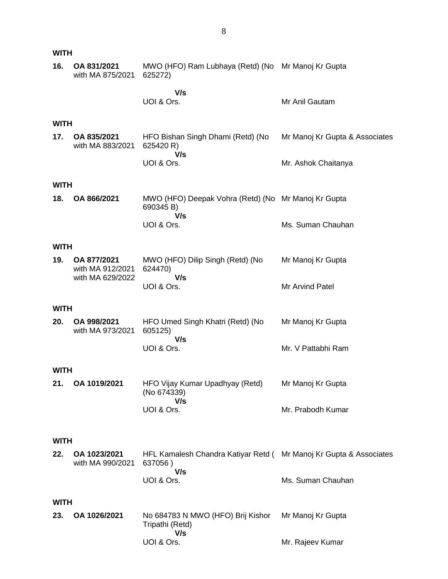**16. OA 831/2021** with MA 875/2021 MWO (HFO) Ram Lubhaya (Retd) (No Mr Manoj Kr Gupta 625272)  **V/s** UOI & Ors. Mr Anil Gautam **WITH 17. OA 835/2021** with MA 883/2021 HFO Bishan Singh Dhami (Retd) (No 625420 R)  **V/s** UOI & Ors. Mr Manoj Kr Gupta & Associates Mr. Ashok Chaitanya **WITH 18. OA 866/2021** MWO (HFO) Deepak Vohra (Retd) (No Mr Manoj Kr Gupta 690345 B)  **V/s** UOI & Ors. Ms. Suman Chauhan **WITH 19. OA 877/2021** with MA 912/2021 with MA 629/2022 MWO (HFO) Dilip Singh (Retd) (No 624470)  **V/s** UOI & Ors. Mr Manoj Kr Gupta Mr Arvind Patel **WITH 20. OA 998/2021** with MA 973/2021 HFO Umed Singh Khatri (Retd) (No 605125)  **V/s** UOI & Ors. Mr Manoj Kr Gupta Mr. V Pattabhi Ram **WITH 21. OA 1019/2021** HFO Vijay Kumar Upadhyay (Retd) (No 674339)  **V/s** UOI & Ors. Mr Manoj Kr Gupta Mr. Prabodh Kumar **WITH 22. OA 1023/2021** with MA 990/2021 HFL Kamalesh Chandra Katiyar Retd ( Mr Manoj Kr Gupta & Associates 637056 )  **V/s** UOI & Ors. Ms. Suman Chauhan **WITH 23. OA 1026/2021** No 684783 N MWO (HFO) Brij Kishor Tripathi (Retd)  **V/s** Mr Manoj Kr Gupta

Mr. Rajeev Kumar

UOI & Ors.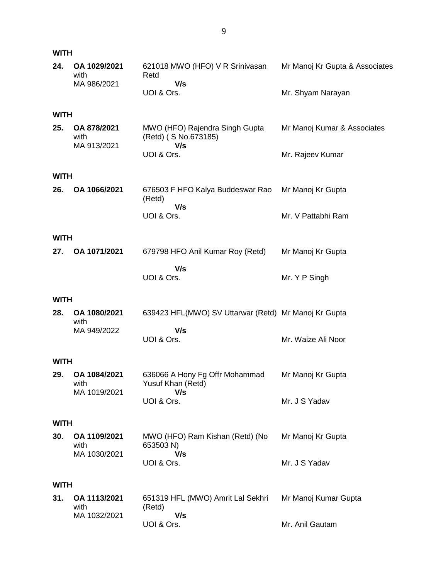| 24.         | OA 1029/2021<br>with                 | 621018 MWO (HFO) V R Srinivasan<br>Retd                       | Mr Manoj Kr Gupta & Associates |
|-------------|--------------------------------------|---------------------------------------------------------------|--------------------------------|
|             | MA 986/2021                          | V/s<br>UOI & Ors.                                             | Mr. Shyam Narayan              |
| <b>WITH</b> |                                      |                                                               |                                |
| 25.         | OA 878/2021<br>with<br>MA 913/2021   | MWO (HFO) Rajendra Singh Gupta<br>(Retd) (S No.673185)<br>V/s | Mr Manoj Kumar & Associates    |
|             |                                      | UOI & Ors.                                                    | Mr. Rajeev Kumar               |
| <b>WITH</b> |                                      |                                                               |                                |
| 26.         | OA 1066/2021                         | 676503 F HFO Kalya Buddeswar Rao<br>(Retd)                    | Mr Manoj Kr Gupta              |
|             |                                      | V/s<br>UOI & Ors.                                             | Mr. V Pattabhi Ram             |
| <b>WITH</b> |                                      |                                                               |                                |
| 27.         | OA 1071/2021                         | 679798 HFO Anil Kumar Roy (Retd)                              | Mr Manoj Kr Gupta              |
|             |                                      | V/s<br>UOI & Ors.                                             | Mr. Y P Singh                  |
| <b>WITH</b> |                                      |                                                               |                                |
| 28.         | OA 1080/2021<br>with                 | 639423 HFL(MWO) SV Uttarwar (Retd) Mr Manoj Kr Gupta          |                                |
|             | MA 949/2022                          | V/s<br>UOI & Ors.                                             | Mr. Waize Ali Noor             |
| <b>WITH</b> |                                      |                                                               |                                |
| 29.         | OA 1084/2021<br>with                 | 636066 A Hony Fg Offr Mohammad<br>Yusuf Khan (Retd)           | Mr Manoj Kr Gupta              |
|             | MA 1019/2021                         | V/s<br>UOI & Ors.                                             | Mr. J S Yadav                  |
| <b>WITH</b> |                                      |                                                               |                                |
| 30.         | OA 1109/2021<br>with<br>MA 1030/2021 | MWO (HFO) Ram Kishan (Retd) (No<br>653503 N)<br>V/s           | Mr Manoj Kr Gupta              |
|             |                                      | UOI & Ors.                                                    | Mr. J S Yadav                  |
| <b>WITH</b> |                                      |                                                               |                                |
| 31.         | OA 1113/2021<br>with                 | 651319 HFL (MWO) Amrit Lal Sekhri<br>(Retd)                   | Mr Manoj Kumar Gupta           |
|             | MA 1032/2021                         | V/s<br>UOI & Ors.                                             | Mr. Anil Gautam                |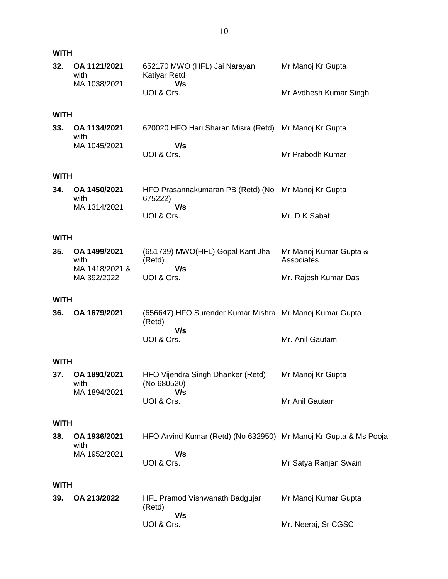#### **WITH**

| 32. | OA 1121/2021<br>with | 652170 MWO (HFL) Jai Narayan<br>Katiyar Retd | Mr Manoj Kr Gupta      |
|-----|----------------------|----------------------------------------------|------------------------|
|     | MA 1038/2021         | V/s                                          |                        |
|     |                      | UOI & Ors.                                   | Mr Avdhesh Kumar Singh |

#### **WITH**

| 33. | OA 1134/2021<br>with | 620020 HFO Hari Sharan Misra (Retd) Mr Manoj Kr Gupta |                  |
|-----|----------------------|-------------------------------------------------------|------------------|
|     | MA 1045/2021         | V/s                                                   |                  |
|     |                      | UOI & Ors.                                            | Mr Prabodh Kumar |

## **WITH**

| 34. | OA 1450/2021 | HFO Prasannakumaran PB (Retd) (No Mr Manoj Kr Gupta |               |  |
|-----|--------------|-----------------------------------------------------|---------------|--|
|     | with         | 675222)                                             |               |  |
|     | MA 1314/2021 | V/s                                                 |               |  |
|     |              | UOI & Ors.                                          | Mr. D K Sabat |  |

#### **WITH**

| 35. | OA 1499/2021<br>with | (651739) MWO(HFL) Gopal Kant Jha<br>(Retd) | Mr Manoj Kumar Gupta &<br>Associates |
|-----|----------------------|--------------------------------------------|--------------------------------------|
|     | MA 1418/2021 &       | V/s                                        |                                      |
|     | MA 392/2022          | UOI & Ors.                                 | Mr. Rajesh Kumar Das                 |

#### **WITH**

| 36. | OA 1679/2021 | (656647) HFO Surender Kumar Mishra Mr Manoj Kumar Gupta<br>(Retd) |                 |
|-----|--------------|-------------------------------------------------------------------|-----------------|
|     |              | V/s                                                               |                 |
|     |              | UOI & Ors.                                                        | Mr. Anil Gautam |

# **WITH**

| 37. | OA 1891/2021<br>with | HFO Vijendra Singh Dhanker (Retd)<br>(No 680520) | Mr Manoj Kr Gupta |  |
|-----|----------------------|--------------------------------------------------|-------------------|--|
|     | MA 1894/2021         | V/s                                              |                   |  |
|     |                      | UOI & Ors.                                       | Mr Anil Gautam    |  |

## **WITH**

| 38. | OA 1936/2021<br>with | HFO Arvind Kumar (Retd) (No 632950) Mr Manoj Kr Gupta & Ms Pooja |                       |
|-----|----------------------|------------------------------------------------------------------|-----------------------|
|     | MA 1952/2021         | V/s                                                              |                       |
|     |                      | UOI & Ors.                                                       | Mr Satya Ranjan Swain |

## **WITH**

| 39. | OA 213/2022 | HFL Pramod Vishwanath Badgujar<br>(Retd) | Mr Manoj Kumar Gupta |
|-----|-------------|------------------------------------------|----------------------|
|     |             | V/s                                      |                      |
|     |             | UOI & Ors.                               | Mr. Neeraj, Sr CGSC  |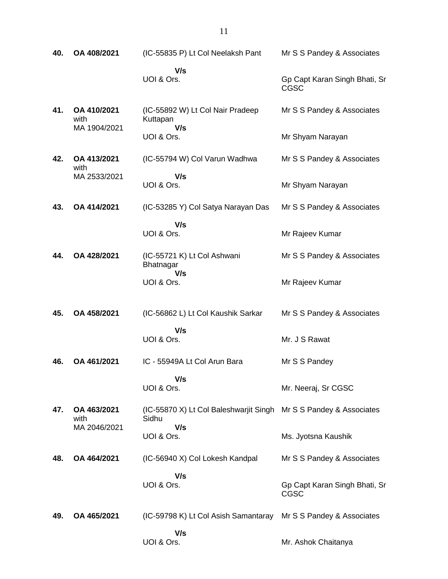| 40. | OA 408/2021                         | (IC-55835 P) Lt Col Neelaksh Pant                                          | Mr S S Pandey & Associates                   |
|-----|-------------------------------------|----------------------------------------------------------------------------|----------------------------------------------|
|     |                                     | V/s<br>UOI & Ors.                                                          | Gp Capt Karan Singh Bhati, Sr<br><b>CGSC</b> |
| 41. | OA 410/2021<br>with<br>MA 1904/2021 | (IC-55892 W) Lt Col Nair Pradeep<br>Kuttapan                               | Mr S S Pandey & Associates                   |
|     |                                     | V/s<br>UOI & Ors.                                                          | Mr Shyam Narayan                             |
| 42. | OA 413/2021<br>with                 | (IC-55794 W) Col Varun Wadhwa                                              | Mr S S Pandey & Associates                   |
|     | MA 2533/2021                        | V/s<br>UOI & Ors.                                                          | Mr Shyam Narayan                             |
| 43. | OA 414/2021                         | (IC-53285 Y) Col Satya Narayan Das                                         | Mr S S Pandey & Associates                   |
|     |                                     | V/s<br>UOI & Ors.                                                          | Mr Rajeev Kumar                              |
| 44. | OA 428/2021                         | (IC-55721 K) Lt Col Ashwani<br>Bhatnagar                                   | Mr S S Pandey & Associates                   |
|     |                                     | V/s<br>UOI & Ors.                                                          | Mr Rajeev Kumar                              |
| 45. | OA 458/2021                         | (IC-56862 L) Lt Col Kaushik Sarkar                                         | Mr S S Pandey & Associates                   |
|     |                                     | V/s<br>UOI & Ors.                                                          | Mr. J S Rawat                                |
| 46. | OA 461/2021                         | IC - 55949A Lt Col Arun Bara                                               | Mr S S Pandey                                |
|     |                                     | V/s<br>UOI & Ors.                                                          | Mr. Neeraj, Sr CGSC                          |
| 47. | OA 463/2021<br>with                 | (IC-55870 X) Lt Col Baleshwarjit Singh Mr S S Pandey & Associates<br>Sidhu |                                              |
|     | MA 2046/2021                        | V/s<br>UOI & Ors.                                                          | Ms. Jyotsna Kaushik                          |
| 48. | OA 464/2021                         | (IC-56940 X) Col Lokesh Kandpal                                            | Mr S S Pandey & Associates                   |
|     |                                     | V/s<br>UOI & Ors.                                                          | Gp Capt Karan Singh Bhati, Sr<br>CGSC        |
| 49. | OA 465/2021                         | (IC-59798 K) Lt Col Asish Samantaray                                       | Mr S S Pandey & Associates                   |
|     |                                     | V/s<br>UOI & Ors.                                                          | Mr. Ashok Chaitanya                          |

11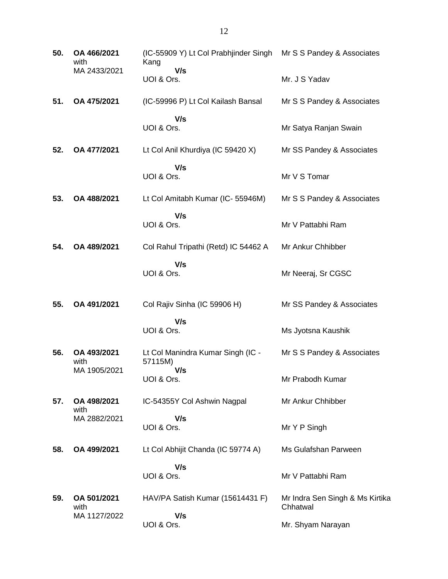| 50. | OA 466/2021<br>with                 | (IC-55909 Y) Lt Col Prabhjinder Singh<br>Kang | Mr S S Pandey & Associates                  |
|-----|-------------------------------------|-----------------------------------------------|---------------------------------------------|
|     | MA 2433/2021                        | V/s<br>UOI & Ors.                             | Mr. J S Yadav                               |
| 51. | OA 475/2021                         | (IC-59996 P) Lt Col Kailash Bansal            | Mr S S Pandey & Associates                  |
|     |                                     | V/s<br>UOI & Ors.                             | Mr Satya Ranjan Swain                       |
| 52. | OA 477/2021                         | Lt Col Anil Khurdiya (IC 59420 X)             | Mr SS Pandey & Associates                   |
|     |                                     | V/s<br>UOI & Ors.                             | Mr V S Tomar                                |
| 53. | OA 488/2021                         | Lt Col Amitabh Kumar (IC- 55946M)             | Mr S S Pandey & Associates                  |
|     |                                     | V/s<br>UOI & Ors.                             | Mr V Pattabhi Ram                           |
| 54. | OA 489/2021                         | Col Rahul Tripathi (Retd) IC 54462 A          | Mr Ankur Chhibber                           |
|     |                                     | V/s<br>UOI & Ors.                             | Mr Neeraj, Sr CGSC                          |
| 55. | OA 491/2021                         | Col Rajiv Sinha (IC 59906 H)                  | Mr SS Pandey & Associates                   |
|     |                                     |                                               |                                             |
|     |                                     | V/s<br>UOI & Ors.                             | Ms Jyotsna Kaushik                          |
| 56. | OA 493/2021<br>with                 | Lt Col Manindra Kumar Singh (IC -<br>57115M)  | Mr S S Pandey & Associates                  |
|     | MA 1905/2021                        | V/s<br>UOI & Ors.                             | Mr Prabodh Kumar                            |
| 57. | OA 498/2021                         | IC-54355Y Col Ashwin Nagpal                   | Mr Ankur Chhibber                           |
|     | with<br>MA 2882/2021                | V/s<br>UOI & Ors.                             | Mr Y P Singh                                |
| 58. | OA 499/2021                         | Lt Col Abhijit Chanda (IC 59774 A)            | Ms Gulafshan Parween                        |
|     |                                     | V/s<br>UOI & Ors.                             | Mr V Pattabhi Ram                           |
| 59. | OA 501/2021<br>with<br>MA 1127/2022 | HAV/PA Satish Kumar (15614431 F)<br>V/s       | Mr Indra Sen Singh & Ms Kirtika<br>Chhatwal |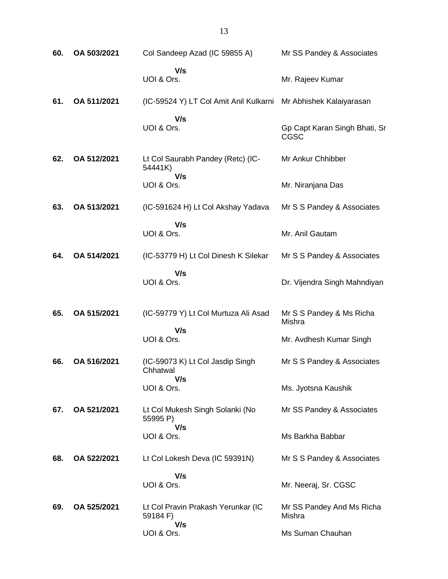| 60. | OA 503/2021 | Col Sandeep Azad (IC 59855 A)                                   | Mr SS Pandey & Associates             |
|-----|-------------|-----------------------------------------------------------------|---------------------------------------|
|     |             | V/s<br>UOI & Ors.                                               | Mr. Rajeev Kumar                      |
| 61. | OA 511/2021 | (IC-59524 Y) LT Col Amit Anil Kulkarni Mr Abhishek Kalaiyarasan |                                       |
|     |             | V/s<br>UOI & Ors.                                               | Gp Capt Karan Singh Bhati, Sr<br>CGSC |
| 62. | OA 512/2021 | Lt Col Saurabh Pandey (Retc) (IC-<br>54441K)                    | Mr Ankur Chhibber                     |
|     |             | V/s<br>UOI & Ors.                                               | Mr. Niranjana Das                     |
| 63. | OA 513/2021 | (IC-591624 H) Lt Col Akshay Yadava                              | Mr S S Pandey & Associates            |
|     |             | V/s<br>UOI & Ors.                                               | Mr. Anil Gautam                       |
| 64. | OA 514/2021 | (IC-53779 H) Lt Col Dinesh K Silekar                            | Mr S S Pandey & Associates            |
|     |             | V/s<br>UOI & Ors.                                               | Dr. Vijendra Singh Mahndiyan          |
| 65. | OA 515/2021 | (IC-59779 Y) Lt Col Murtuza Ali Asad                            | Mr S S Pandey & Ms Richa<br>Mishra    |
|     |             | V/s<br>UOI & Ors.                                               | Mr. Avdhesh Kumar Singh               |
| 66. | OA 516/2021 | (IC-59073 K) Lt Col Jasdip Singh<br>Chhatwal                    | Mr S S Pandey & Associates            |
|     |             | V/s<br>UOI & Ors.                                               | Ms. Jyotsna Kaushik                   |
| 67. | OA 521/2021 | Lt Col Mukesh Singh Solanki (No<br>55995 P)                     | Mr SS Pandey & Associates             |
|     |             | V/s<br>UOI & Ors.                                               | Ms Barkha Babbar                      |
| 68. | OA 522/2021 | Lt Col Lokesh Deva (IC 59391N)                                  | Mr S S Pandey & Associates            |
|     |             | V/s<br>UOI & Ors.                                               | Mr. Neeraj, Sr. CGSC                  |
| 69. | OA 525/2021 | Lt Col Pravin Prakash Yerunkar (IC<br>59184 F)<br>V/s           | Mr SS Pandey And Ms Richa<br>Mishra   |
|     |             | UOI & Ors.                                                      | Ms Suman Chauhan                      |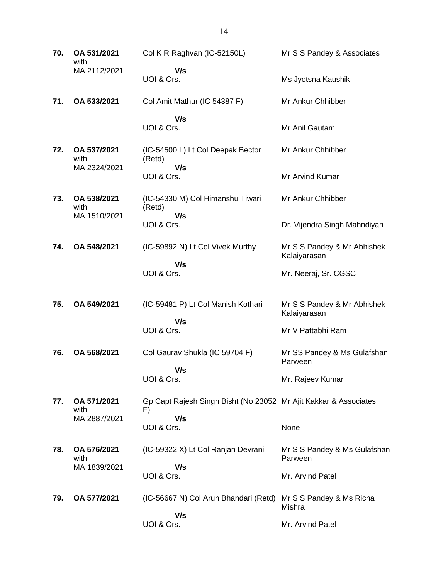| 70. | OA 531/2021<br>with                 | Col K R Raghvan (IC-52150L)                                                   | Mr S S Pandey & Associates                  |
|-----|-------------------------------------|-------------------------------------------------------------------------------|---------------------------------------------|
|     | MA 2112/2021                        | V/s<br>UOI & Ors.                                                             | Ms Jyotsna Kaushik                          |
| 71. | OA 533/2021                         | Col Amit Mathur (IC 54387 F)                                                  | Mr Ankur Chhibber                           |
|     |                                     | V/s<br>UOI & Ors.                                                             | Mr Anil Gautam                              |
| 72. | OA 537/2021<br>with<br>MA 2324/2021 | (IC-54500 L) Lt Col Deepak Bector<br>(Retd)<br>V/s                            | Mr Ankur Chhibber                           |
|     |                                     | UOI & Ors.                                                                    | Mr Arvind Kumar                             |
| 73. | OA 538/2021<br>with<br>MA 1510/2021 | (IC-54330 M) Col Himanshu Tiwari<br>(Retd)<br>V/s                             | Mr Ankur Chhibber                           |
|     |                                     | UOI & Ors.                                                                    | Dr. Vijendra Singh Mahndiyan                |
| 74. | OA 548/2021                         | (IC-59892 N) Lt Col Vivek Murthy                                              | Mr S S Pandey & Mr Abhishek<br>Kalaiyarasan |
|     |                                     | V/s<br>UOI & Ors.                                                             | Mr. Neeraj, Sr. CGSC                        |
| 75. | OA 549/2021                         | (IC-59481 P) Lt Col Manish Kothari<br>V/s                                     | Mr S S Pandey & Mr Abhishek<br>Kalaiyarasan |
|     |                                     | UOI & Ors.                                                                    | Mr V Pattabhi Ram                           |
| 76. | OA 568/2021                         | Col Gaurav Shukla (IC 59704 F)<br>V/s                                         | Mr SS Pandey & Ms Gulafshan<br>Parween      |
|     |                                     | UOI & Ors.                                                                    | Mr. Rajeev Kumar                            |
| 77. | OA 571/2021<br>with<br>MA 2887/2021 | Gp Capt Rajesh Singh Bisht (No 23052 Mr Ajit Kakkar & Associates<br>F)<br>V/s |                                             |
|     |                                     | UOI & Ors.                                                                    | None                                        |
| 78. | OA 576/2021<br>with                 | (IC-59322 X) Lt Col Ranjan Devrani                                            | Mr S S Pandey & Ms Gulafshan<br>Parween     |
|     | MA 1839/2021                        | V/s<br>UOI & Ors.                                                             | Mr. Arvind Patel                            |
| 79. | OA 577/2021                         | (IC-56667 N) Col Arun Bhandari (Retd)                                         | Mr S S Pandey & Ms Richa<br>Mishra          |
|     |                                     | V/s<br>UOI & Ors.                                                             | Mr. Arvind Patel                            |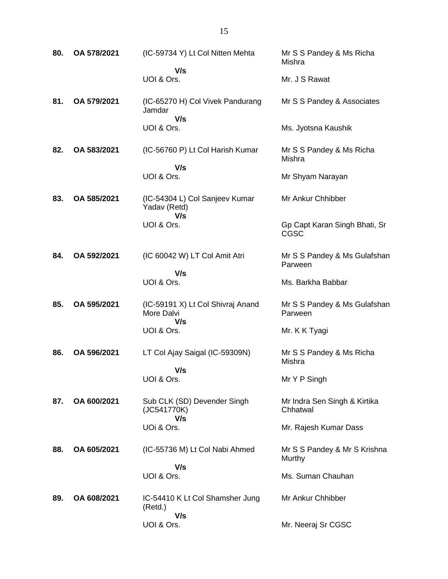| 80. | OA 578/2021 | (IC-59734 Y) Lt Col Nitten Mehta                       | Mr S S Pandey & Ms Richa<br>Mishra           |
|-----|-------------|--------------------------------------------------------|----------------------------------------------|
|     |             | V/s<br>UOI & Ors.                                      | Mr. J S Rawat                                |
| 81. | OA 579/2021 | (IC-65270 H) Col Vivek Pandurang<br>Jamdar             | Mr S S Pandey & Associates                   |
|     |             | V/s<br>UOI & Ors.                                      | Ms. Jyotsna Kaushik                          |
| 82. | OA 583/2021 | (IC-56760 P) Lt Col Harish Kumar                       | Mr S S Pandey & Ms Richa<br>Mishra           |
|     |             | V/s<br>UOI & Ors.                                      | Mr Shyam Narayan                             |
| 83. | OA 585/2021 | (IC-54304 L) Col Sanjeev Kumar<br>Yadav (Retd)         | Mr Ankur Chhibber                            |
|     |             | V/s<br>UOI & Ors.                                      | Gp Capt Karan Singh Bhati, Sr<br><b>CGSC</b> |
| 84. | OA 592/2021 | (IC 60042 W) LT Col Amit Atri                          | Mr S S Pandey & Ms Gulafshan<br>Parween      |
|     |             | V/s<br>UOI & Ors.                                      | Ms. Barkha Babbar                            |
| 85. | OA 595/2021 | (IC-59191 X) Lt Col Shivraj Anand<br>More Dalvi<br>V/s | Mr S S Pandey & Ms Gulafshan<br>Parween      |
|     |             | UOI & Ors.                                             | Mr. K K Tyagi                                |
| 86. | OA 596/2021 | LT Col Ajay Saigal (IC-59309N)                         | Mr S S Pandey & Ms Richa<br>Mishra           |
|     |             | V/s<br>UOI & Ors.                                      | Mr Y P Singh                                 |
| 87. | OA 600/2021 | Sub CLK (SD) Devender Singh<br>(JC541770K)<br>V/s      | Mr Indra Sen Singh & Kirtika<br>Chhatwal     |
|     |             | UOi & Ors.                                             | Mr. Rajesh Kumar Dass                        |
| 88. | OA 605/2021 | (IC-55736 M) Lt Col Nabi Ahmed                         | Mr S S Pandey & Mr S Krishna<br>Murthy       |
|     |             | V/s<br>UOI & Ors.                                      | Ms. Suman Chauhan                            |
| 89. | OA 608/2021 | IC-54410 K Lt Col Shamsher Jung<br>(Retd.)             | Mr Ankur Chhibber                            |
|     |             | V/s<br>UOI & Ors.                                      | Mr. Neeraj Sr CGSC                           |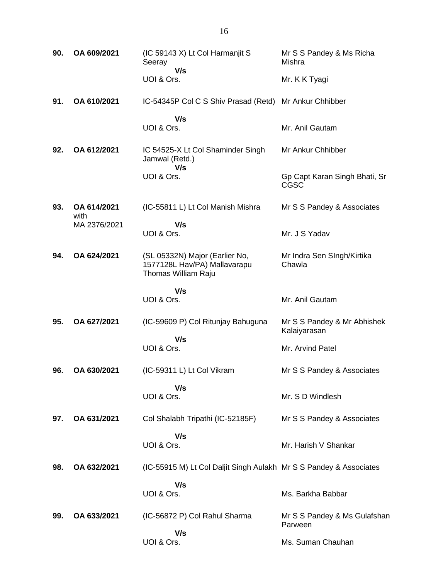| 90. | OA 609/2021         | (IC 59143 X) Lt Col Harmanjit S<br>Seeray                                             | Mr S S Pandey & Ms Richa<br>Mishra          |
|-----|---------------------|---------------------------------------------------------------------------------------|---------------------------------------------|
|     |                     | V/s<br>UOI & Ors.                                                                     | Mr. K K Tyagi                               |
| 91. | OA 610/2021         | IC-54345P Col C S Shiv Prasad (Retd) Mr Ankur Chhibber                                |                                             |
|     |                     | V/s<br>UOI & Ors.                                                                     | Mr. Anil Gautam                             |
| 92. | OA 612/2021         | IC 54525-X Lt Col Shaminder Singh<br>Jamwal (Retd.)<br>V/s                            | Mr Ankur Chhibber                           |
|     |                     | UOI & Ors.                                                                            | Gp Capt Karan Singh Bhati, Sr<br>CGSC       |
| 93. | OA 614/2021<br>with | (IC-55811 L) Lt Col Manish Mishra                                                     | Mr S S Pandey & Associates                  |
|     | MA 2376/2021        | V/s<br>UOI & Ors.                                                                     | Mr. J S Yadav                               |
| 94. | OA 624/2021         | (SL 05332N) Major (Earlier No,<br>1577128L Hav/PA) Mallavarapu<br>Thomas William Raju | Mr Indra Sen SIngh/Kirtika<br>Chawla        |
|     |                     | V/s<br>UOI & Ors.                                                                     | Mr. Anil Gautam                             |
| 95. | OA 627/2021         | (IC-59609 P) Col Ritunjay Bahuguna                                                    | Mr S S Pandey & Mr Abhishek<br>Kalaiyarasan |
|     |                     | V/s<br>UOI & Ors.                                                                     | Mr. Arvind Patel                            |
| 96. | OA 630/2021         | (IC-59311 L) Lt Col Vikram                                                            | Mr S S Pandey & Associates                  |
|     |                     | V/s<br>UOI & Ors.                                                                     | Mr. S D Windlesh                            |
| 97. | OA 631/2021         | Col Shalabh Tripathi (IC-52185F)                                                      | Mr S S Pandey & Associates                  |
|     |                     | V/s<br>UOI & Ors.                                                                     | Mr. Harish V Shankar                        |
| 98. | OA 632/2021         | (IC-55915 M) Lt Col Daljit Singh Aulakh Mr S S Pandey & Associates                    |                                             |
|     |                     | V/s<br>UOI & Ors.                                                                     | Ms. Barkha Babbar                           |
| 99. | OA 633/2021         | (IC-56872 P) Col Rahul Sharma                                                         | Mr S S Pandey & Ms Gulafshan<br>Parween     |
|     |                     | V/s<br>UOI & Ors.                                                                     | Ms. Suman Chauhan                           |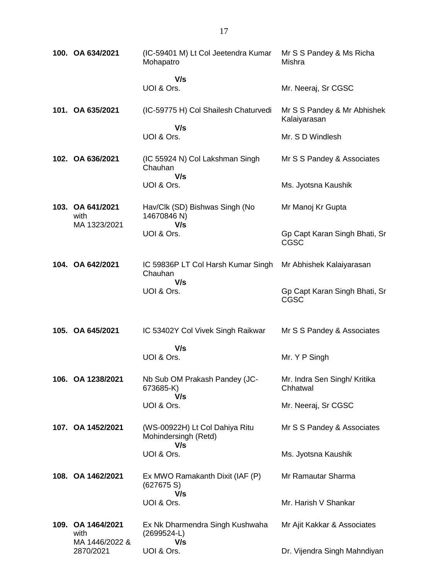| 100. OA 634/2021                         | (IC-59401 M) Lt Col Jeetendra Kumar<br>Mohapatro              | Mr S S Pandey & Ms Richa<br>Mishra           |
|------------------------------------------|---------------------------------------------------------------|----------------------------------------------|
|                                          | V/s<br>UOI & Ors.                                             | Mr. Neeraj, Sr CGSC                          |
| 101. OA 635/2021                         | (IC-59775 H) Col Shailesh Chaturvedi<br>V/s                   | Mr S S Pandey & Mr Abhishek<br>Kalaiyarasan  |
|                                          | UOI & Ors.                                                    | Mr. S D Windlesh                             |
| 102. OA 636/2021                         | (IC 55924 N) Col Lakshman Singh<br>Chauhan<br>V/s             | Mr S S Pandey & Associates                   |
|                                          | UOI & Ors.                                                    | Ms. Jyotsna Kaushik                          |
| 103. OA 641/2021<br>with<br>MA 1323/2021 | Hav/Clk (SD) Bishwas Singh (No<br>14670846 N)<br>V/s          | Mr Manoj Kr Gupta                            |
|                                          | UOI & Ors.                                                    | Gp Capt Karan Singh Bhati, Sr<br><b>CGSC</b> |
| 104. OA 642/2021                         | IC 59836P LT Col Harsh Kumar Singh<br>Chauhan<br>V/s          | Mr Abhishek Kalaiyarasan                     |
|                                          | UOI & Ors.                                                    | Gp Capt Karan Singh Bhati, Sr<br>CGSC        |
| 105. OA 645/2021                         | IC 53402Y Col Vivek Singh Raikwar                             | Mr S S Pandey & Associates                   |
|                                          | V/s<br>UOI & Ors.                                             | Mr. Y P Singh                                |
| 106. OA 1238/2021                        | Nb Sub OM Prakash Pandey (JC-<br>673685-K)<br>V/s             | Mr. Indra Sen Singh/ Kritika<br>Chhatwal     |
|                                          | UOI & Ors.                                                    | Mr. Neeraj, Sr CGSC                          |
| 107. OA 1452/2021                        | (WS-00922H) Lt Col Dahiya Ritu<br>Mohindersingh (Retd)<br>V/s | Mr S S Pandey & Associates                   |
|                                          | UOI & Ors.                                                    | Ms. Jyotsna Kaushik                          |
| 108. OA 1462/2021                        | Ex MWO Ramakanth Dixit (IAF (P)<br>(627675 S)                 | Mr Ramautar Sharma                           |
|                                          | V/s<br>UOI & Ors.                                             | Mr. Harish V Shankar                         |
| 109. OA 1464/2021<br>with                | Ex Nk Dharmendra Singh Kushwaha<br>$(2699524-L)$              | Mr Ajit Kakkar & Associates                  |
| MA 1446/2022 &<br>2870/2021              | V/s<br>UOI & Ors.                                             | Dr. Vijendra Singh Mahndiyan                 |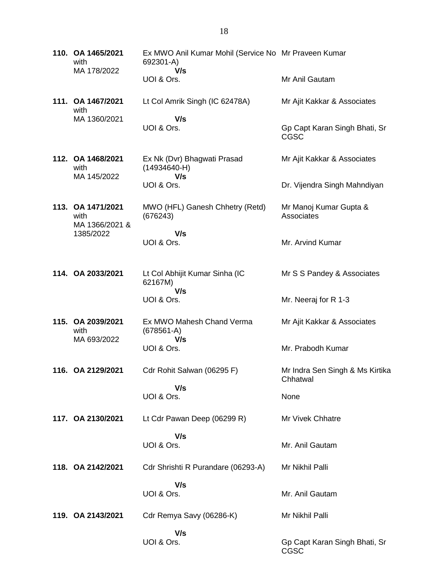**110. OA 1465/2021** with MA 178/2022 Ex MWO Anil Kumar Mohil (Service No Mr Praveen Kumar 692301-A)  **V/s** UOI & Ors. Mr Anil Gautam **111. OA 1467/2021** with MA 1360/2021 Lt Col Amrik Singh (IC 62478A)  **V/s** UOI & Ors. Mr Ajit Kakkar & Associates Gp Capt Karan Singh Bhati, Sr CGSC **112. OA 1468/2021** with MA 145/2022 Ex Nk (Dvr) Bhagwati Prasad (14934640-H)  **V/s** UOI & Ors. Mr Ajit Kakkar & Associates Dr. Vijendra Singh Mahndiyan **113. OA 1471/2021** with MA 1366/2021 & 1385/2022 MWO (HFL) Ganesh Chhetry (Retd) (676243)  **V/s** UOI & Ors. Mr Manoj Kumar Gupta & **Associates** Mr. Arvind Kumar **114. OA 2033/2021** Lt Col Abhijit Kumar Sinha (IC 62167M)  **V/s** UOI & Ors. Mr S S Pandey & Associates Mr. Neeraj for R 1-3 **115. OA 2039/2021** with MA 693/2022 Ex MWO Mahesh Chand Verma (678561-A)  **V/s** UOI & Ors. Mr Ajit Kakkar & Associates Mr. Prabodh Kumar **116. OA 2129/2021** Cdr Rohit Salwan (06295 F)  **V/s** UOI & Ors. Mr Indra Sen Singh & Ms Kirtika Chhatwal None **117. OA 2130/2021** Lt Cdr Pawan Deep (06299 R)  **V/s** UOI & Ors. Mr Vivek Chhatre Mr. Anil Gautam **118. OA 2142/2021** Cdr Shrishti R Purandare (06293-A)  **V/s** UOI & Ors. Mr Nikhil Palli Mr. Anil Gautam **119. OA 2143/2021** Cdr Remya Savy (06286-K)  **V/s** UOI & Ors. Mr Nikhil Palli Gp Capt Karan Singh Bhati, Sr

CGSC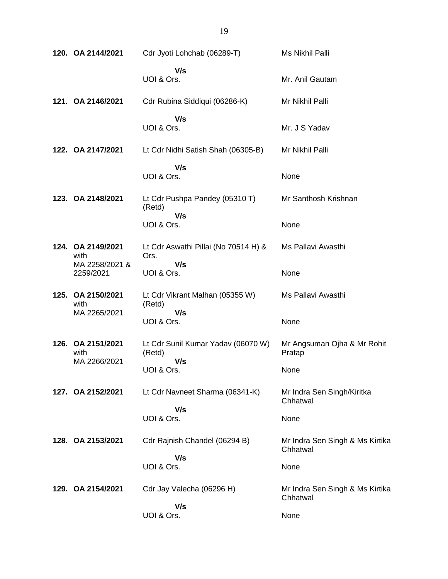| 120. OA 2144/2021                         | Cdr Jyoti Lohchab (06289-T)                         | Ms Nikhil Palli                             |
|-------------------------------------------|-----------------------------------------------------|---------------------------------------------|
|                                           | V/s<br>UOI & Ors.                                   | Mr. Anil Gautam                             |
| 121. OA 2146/2021                         | Cdr Rubina Siddiqui (06286-K)                       | Mr Nikhil Palli                             |
|                                           | V/s<br>UOI & Ors.                                   | Mr. J S Yadav                               |
| 122. OA 2147/2021                         | Lt Cdr Nidhi Satish Shah (06305-B)                  | Mr Nikhil Palli                             |
|                                           | V/s<br>UOI & Ors.                                   | None                                        |
| 123. OA 2148/2021                         | Lt Cdr Pushpa Pandey (05310 T)<br>(Retd)            | Mr Santhosh Krishnan                        |
|                                           | V/s<br>UOI & Ors.                                   | None                                        |
| 124. OA 2149/2021<br>with                 | Lt Cdr Aswathi Pillai (No 70514 H) &<br>Ors.        | Ms Pallavi Awasthi                          |
| MA 2258/2021 &<br>2259/2021               | V/s<br>UOI & Ors.                                   | None                                        |
| 125. OA 2150/2021<br>with                 | Lt Cdr Vikrant Malhan (05355 W)<br>(Retd)           | Ms Pallavi Awasthi                          |
| MA 2265/2021                              | V/s<br>UOI & Ors.                                   | None                                        |
| 126. OA 2151/2021<br>with<br>MA 2266/2021 | Lt Cdr Sunil Kumar Yadav (06070 W)<br>(Retd)<br>V/s | Mr Angsuman Ojha & Mr Rohit<br>Pratap       |
|                                           | UOI & Ors.                                          | None                                        |
| 127. OA 2152/2021                         | Lt Cdr Navneet Sharma (06341-K)                     | Mr Indra Sen Singh/Kiritka<br>Chhatwal      |
|                                           | V/s<br>UOI & Ors.                                   | None                                        |
| 128. OA 2153/2021                         | Cdr Rajnish Chandel (06294 B)                       | Mr Indra Sen Singh & Ms Kirtika<br>Chhatwal |
|                                           | V/s<br>UOI & Ors.                                   | None                                        |
| 129. OA 2154/2021                         | Cdr Jay Valecha (06296 H)                           | Mr Indra Sen Singh & Ms Kirtika<br>Chhatwal |
|                                           | V/s<br>UOI & Ors.                                   | None                                        |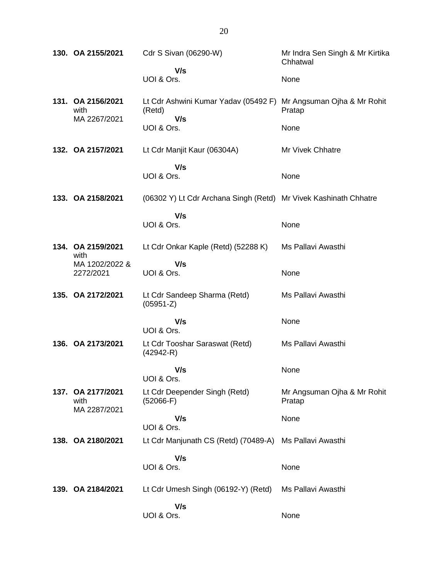| 130. OA 2155/2021                         | Cdr S Sivan (06290-W)                                                             | Mr Indra Sen Singh & Mr Kirtika<br>Chhatwal |
|-------------------------------------------|-----------------------------------------------------------------------------------|---------------------------------------------|
|                                           | V/s<br>UOI & Ors.                                                                 | None                                        |
| 131. OA 2156/2021<br>with                 | Lt Cdr Ashwini Kumar Yadav (05492 F) Mr Angsuman Ojha & Mr Rohit<br>(Retd)<br>V/s | Pratap                                      |
| MA 2267/2021                              | UOI & Ors.                                                                        | None                                        |
| 132. OA 2157/2021                         | Lt Cdr Manjit Kaur (06304A)                                                       | Mr Vivek Chhatre                            |
|                                           | V/s<br>UOI & Ors.                                                                 | None                                        |
| 133. OA 2158/2021                         | (06302 Y) Lt Cdr Archana Singh (Retd) Mr Vivek Kashinath Chhatre                  |                                             |
|                                           | V/s<br>UOI & Ors.                                                                 | None                                        |
| 134. OA 2159/2021<br>with                 | Lt Cdr Onkar Kaple (Retd) (52288 K)                                               | Ms Pallavi Awasthi                          |
| MA 1202/2022 &<br>2272/2021               | V/s<br>UOI & Ors.                                                                 | None                                        |
| 135. OA 2172/2021                         | Lt Cdr Sandeep Sharma (Retd)<br>$(05951 - Z)$                                     | Ms Pallavi Awasthi                          |
|                                           | V/s<br>UOI & Ors.                                                                 | None                                        |
| 136. OA 2173/2021                         | Lt Cdr Tooshar Saraswat (Retd)<br>$(42942-R)$                                     | Ms Pallavi Awasthi                          |
|                                           | V/s<br>UOI & Ors.                                                                 | None                                        |
| 137. OA 2177/2021<br>with<br>MA 2287/2021 | Lt Cdr Deepender Singh (Retd)<br>$(52066-F)$                                      | Mr Angsuman Ojha & Mr Rohit<br>Pratap       |
|                                           | V/s<br>UOI & Ors.                                                                 | None                                        |
| 138. OA 2180/2021                         | Lt Cdr Manjunath CS (Retd) (70489-A)                                              | Ms Pallavi Awasthi                          |
|                                           | V/s<br>UOI & Ors.                                                                 | None                                        |
| 139. OA 2184/2021                         | Lt Cdr Umesh Singh (06192-Y) (Retd)                                               | Ms Pallavi Awasthi                          |
|                                           | V/s<br>UOI & Ors.                                                                 | None                                        |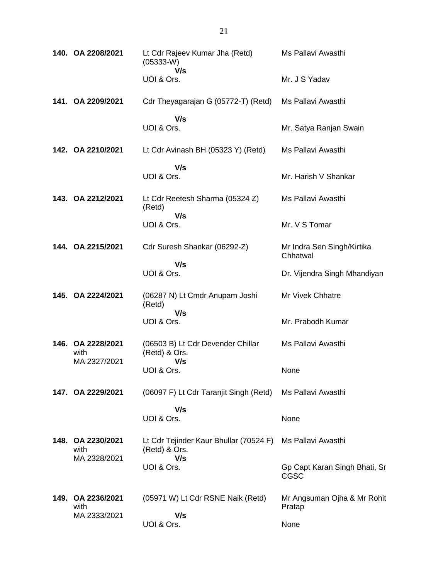| 140. OA 2208/2021         | Lt Cdr Rajeev Kumar Jha (Retd)<br>$(05333-W)$           | Ms Pallavi Awasthi                           |
|---------------------------|---------------------------------------------------------|----------------------------------------------|
|                           | V/s<br>UOI & Ors.                                       | Mr. J S Yadav                                |
| 141. OA 2209/2021         | Cdr Theyagarajan G (05772-T) (Retd)                     | Ms Pallavi Awasthi                           |
|                           | V/s<br>UOI & Ors.                                       | Mr. Satya Ranjan Swain                       |
| 142. OA 2210/2021         | Lt Cdr Avinash BH (05323 Y) (Retd)                      | Ms Pallavi Awasthi                           |
|                           | V/s<br>UOI & Ors.                                       | Mr. Harish V Shankar                         |
| 143. OA 2212/2021         | Lt Cdr Reetesh Sharma (05324 Z)<br>(Retd)               | Ms Pallavi Awasthi                           |
|                           | V/s<br>UOI & Ors.                                       | Mr. V S Tomar                                |
| 144. OA 2215/2021         | Cdr Suresh Shankar (06292-Z)                            | Mr Indra Sen Singh/Kirtika<br>Chhatwal       |
|                           | V/s<br>UOI & Ors.                                       | Dr. Vijendra Singh Mhandiyan                 |
| 145. OA 2224/2021         | (06287 N) Lt Cmdr Anupam Joshi<br>(Retd)                | Mr Vivek Chhatre                             |
|                           | V/s<br>UOI & Ors.                                       | Mr. Prabodh Kumar                            |
| 146. OA 2228/2021<br>with | (06503 B) Lt Cdr Devender Chillar<br>(Retd) & Ors.      | Ms Pallavi Awasthi                           |
| MA 2327/2021              | V/s<br>UOI & Ors.                                       | None                                         |
| 147. OA 2229/2021         | (06097 F) Lt Cdr Taranjit Singh (Retd)                  | Ms Pallavi Awasthi                           |
|                           | V/s<br>UOI & Ors.                                       | None                                         |
| 148. OA 2230/2021<br>with | Lt Cdr Tejinder Kaur Bhullar (70524 F)<br>(Retd) & Ors. | Ms Pallavi Awasthi                           |
| MA 2328/2021              | V/s<br>UOI & Ors.                                       | Gp Capt Karan Singh Bhati, Sr<br><b>CGSC</b> |
| 149. OA 2236/2021<br>with | (05971 W) Lt Cdr RSNE Naik (Retd)                       | Mr Angsuman Ojha & Mr Rohit<br>Pratap        |
| MA 2333/2021              | V/s<br>UOI & Ors.                                       | None                                         |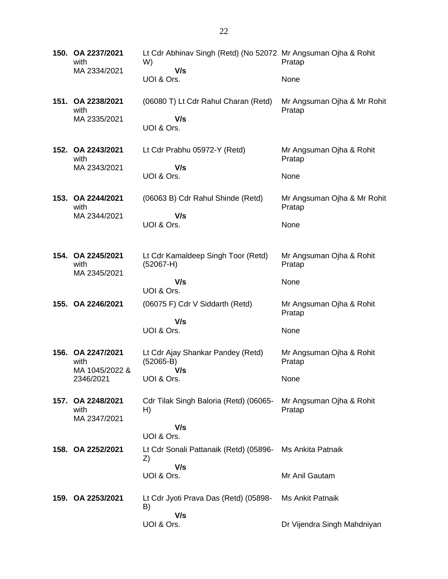**150. OA 2237/2021** with MA 2334/2021 Lt Cdr Abhinav Singh (Retd) (No 52072 Mr Angsuman Ojha & Rohit W)  **V/s** UOI & Ors. Pratap None **151. OA 2238/2021** with MA 2335/2021 (06080 T) Lt Cdr Rahul Charan (Retd)  **V/s** UOI & Ors. Mr Angsuman Ojha & Mr Rohit Pratap **152. OA 2243/2021** with MA 2343/2021 Lt Cdr Prabhu 05972-Y (Retd)  **V/s** UOI & Ors. Mr Angsuman Ojha & Rohit Pratap None **153. OA 2244/2021** with MA 2344/2021 (06063 B) Cdr Rahul Shinde (Retd)  **V/s** UOI & Ors. Mr Angsuman Ojha & Mr Rohit Pratap None **154. OA 2245/2021** with MA 2345/2021 Lt Cdr Kamaldeep Singh Toor (Retd) (52067-H)  **V/s** UOI & Ors. Mr Angsuman Ojha & Rohit Pratap None **155. OA 2246/2021** (06075 F) Cdr V Siddarth (Retd)  **V/s** UOI & Ors. Mr Angsuman Ojha & Rohit Pratap None **156. OA 2247/2021** with MA 1045/2022 & 2346/2021 Lt Cdr Ajay Shankar Pandey (Retd) (52065-B)  **V/s** UOI & Ors. Mr Angsuman Ojha & Rohit Pratap None **157. OA 2248/2021** with MA 2347/2021 Cdr Tilak Singh Baloria (Retd) (06065- H)  **V/s** UOI & Ors. Mr Angsuman Ojha & Rohit Pratap **158. OA 2252/2021** Lt Cdr Sonali Pattanaik (Retd) (05896- Z)  **V/s** UOI & Ors. Ms Ankita Patnaik Mr Anil Gautam **159. OA 2253/2021** Lt Cdr Jyoti Prava Das (Retd) (05898- B)  **V/s** UOI & Ors. Ms Ankit Patnaik Dr Vijendra Singh Mahdniyan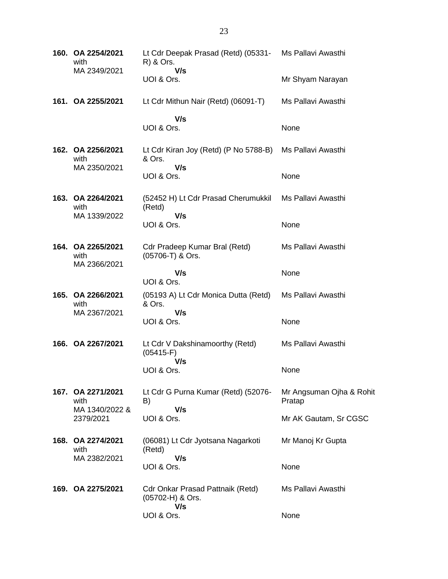|  | 160. OA 2254/2021<br>with<br>MA 2349/2021 | Lt Cdr Deepak Prasad (Retd) (05331- Ms Pallavi Awasthi<br>R) & Ors.<br>V/s |                                    |
|--|-------------------------------------------|----------------------------------------------------------------------------|------------------------------------|
|  |                                           | UOI & Ors.                                                                 | Mr Shyam Narayan                   |
|  | 161. OA 2255/2021                         | Lt Cdr Mithun Nair (Retd) (06091-T)                                        | Ms Pallavi Awasthi                 |
|  |                                           | V/s<br>UOI & Ors.                                                          | None                               |
|  | 162. OA 2256/2021<br>with                 | Lt Cdr Kiran Joy (Retd) (P No 5788-B)<br>& Ors.<br>V/s                     | Ms Pallavi Awasthi                 |
|  | MA 2350/2021                              | UOI & Ors.                                                                 | None                               |
|  | 163. OA 2264/2021<br>with<br>MA 1339/2022 | (52452 H) Lt Cdr Prasad Cherumukkil<br>(Retd)<br>V/s                       | Ms Pallavi Awasthi                 |
|  |                                           | UOI & Ors.                                                                 | None                               |
|  | 164. OA 2265/2021<br>with<br>MA 2366/2021 | Cdr Pradeep Kumar Bral (Retd)<br>(05706-T) & Ors.                          | Ms Pallavi Awasthi                 |
|  |                                           | V/s<br>UOI & Ors.                                                          | None                               |
|  | 165. OA 2266/2021<br>with                 | (05193 A) Lt Cdr Monica Dutta (Retd)<br>& Ors.                             | Ms Pallavi Awasthi                 |
|  | MA 2367/2021                              | V/s<br>UOI & Ors.                                                          | None                               |
|  | 166. OA 2267/2021                         | Lt Cdr V Dakshinamoorthy (Retd)<br>$(05415-F)$<br>V/s                      | Ms Pallavi Awasthi                 |
|  |                                           | UOI & Ors.                                                                 | None                               |
|  | 167. OA 2271/2021<br>with                 | Lt Cdr G Purna Kumar (Retd) (52076-<br>B)                                  | Mr Angsuman Ojha & Rohit<br>Pratap |
|  | MA 1340/2022 &<br>2379/2021               | V/s<br>UOI & Ors.                                                          | Mr AK Gautam, Sr CGSC              |
|  | 168. OA 2274/2021<br>with                 | (06081) Lt Cdr Jyotsana Nagarkoti<br>(Retd)                                | Mr Manoj Kr Gupta                  |
|  | MA 2382/2021                              | V/s<br>UOI & Ors.                                                          | None                               |
|  | 169. OA 2275/2021                         | <b>Cdr Onkar Prasad Pattnaik (Retd)</b><br>(05702-H) & Ors.<br>V/s         | Ms Pallavi Awasthi                 |
|  |                                           | UOI & Ors.                                                                 | None                               |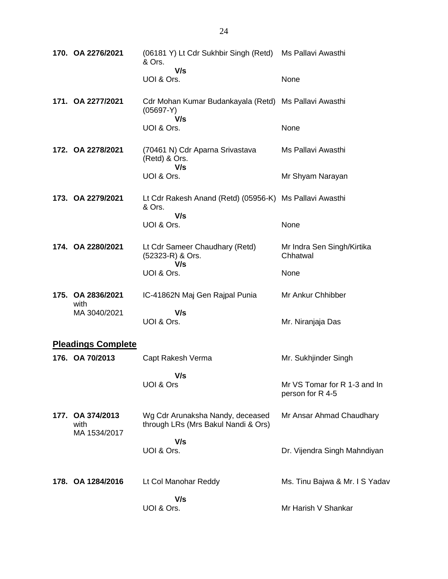| 170. OA 2276/2021                        | (06181 Y) Lt Cdr Sukhbir Singh (Retd) Ms Pallavi Awasthi<br>& Ors.          |                                                  |
|------------------------------------------|-----------------------------------------------------------------------------|--------------------------------------------------|
|                                          | V/s<br>UOI & Ors.                                                           | None                                             |
| 171. OA 2277/2021                        | Cdr Mohan Kumar Budankayala (Retd) Ms Pallavi Awasthi<br>$(05697-Y)$<br>V/s |                                                  |
|                                          | UOI & Ors.                                                                  | None                                             |
| 172. OA 2278/2021                        | (70461 N) Cdr Aparna Srivastava<br>(Retd) & Ors.<br>V/s                     | Ms Pallavi Awasthi                               |
|                                          | UOI & Ors.                                                                  | Mr Shyam Narayan                                 |
| 173. OA 2279/2021                        | Lt Cdr Rakesh Anand (Retd) (05956-K) Ms Pallavi Awasthi<br>& Ors.<br>V/s    |                                                  |
|                                          | UOI & Ors.                                                                  | None                                             |
| 174. OA 2280/2021                        | Lt Cdr Sameer Chaudhary (Retd)<br>(52323-R) & Ors.<br>V/s                   | Mr Indra Sen Singh/Kirtika<br>Chhatwal           |
|                                          | UOI & Ors.                                                                  | None                                             |
| 175. OA 2836/2021<br>with                | IC-41862N Maj Gen Rajpal Punia                                              | Mr Ankur Chhibber                                |
| MA 3040/2021                             | V/s<br>UOI & Ors.                                                           | Mr. Niranjaja Das                                |
| <b>Pleadings Complete</b>                |                                                                             |                                                  |
| 176. OA 70/2013                          | Capt Rakesh Verma                                                           | Mr. Sukhjinder Singh                             |
|                                          | V/s<br>UOI & Ors                                                            | Mr VS Tomar for R 1-3 and In<br>person for R 4-5 |
| 177. OA 374/2013<br>with<br>MA 1534/2017 | Wg Cdr Arunaksha Nandy, deceased<br>through LRs (Mrs Bakul Nandi & Ors)     | Mr Ansar Ahmad Chaudhary                         |
|                                          | V/s<br>UOI & Ors.                                                           | Dr. Vijendra Singh Mahndiyan                     |
| 178. OA 1284/2016                        | Lt Col Manohar Reddy                                                        | Ms. Tinu Bajwa & Mr. I S Yadav                   |
|                                          | V/s<br>UOI & Ors.                                                           | Mr Harish V Shankar                              |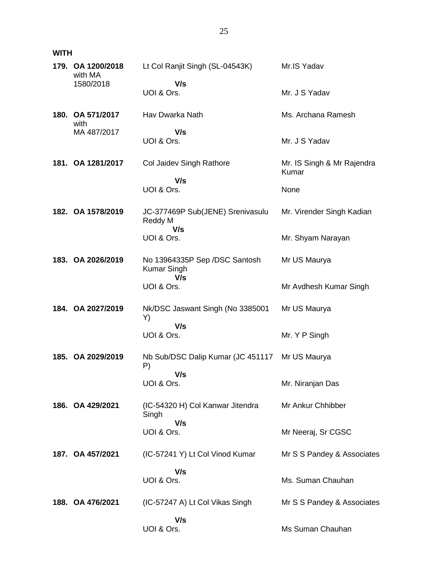| 179. OA 1200/2018<br>with MA<br>1580/2018 | Lt Col Ranjit Singh (SL-04543K)<br>V/s                     | Mr.IS Yadav                         |
|-------------------------------------------|------------------------------------------------------------|-------------------------------------|
|                                           | UOI & Ors.                                                 | Mr. J S Yadav                       |
| 180. OA 571/2017<br>with                  | Hav Dwarka Nath                                            | Ms. Archana Ramesh                  |
| MA 487/2017                               | V/s<br>UOI & Ors.                                          | Mr. J S Yadav                       |
| 181. OA 1281/2017                         | Col Jaidev Singh Rathore                                   | Mr. IS Singh & Mr Rajendra<br>Kumar |
|                                           | V/s<br>UOI & Ors.                                          | None                                |
| 182. OA 1578/2019                         | JC-377469P Sub(JENE) Srenivasulu<br>Reddy M<br>V/s         | Mr. Virender Singh Kadian           |
|                                           | UOI & Ors.                                                 | Mr. Shyam Narayan                   |
| 183. OA 2026/2019                         | No 13964335P Sep /DSC Santosh<br><b>Kumar Singh</b><br>V/s | Mr US Maurya                        |
|                                           | UOI & Ors.                                                 | Mr Avdhesh Kumar Singh              |
| 184. OA 2027/2019                         | Nk/DSC Jaswant Singh (No 3385001<br>Y)                     | Mr US Maurya                        |
|                                           | V/s<br>UOI & Ors.                                          | Mr. Y P Singh                       |
| 185. OA 2029/2019                         | Nb Sub/DSC Dalip Kumar (JC 451117<br>P)                    | Mr US Maurya                        |
|                                           | V/s<br>UOI & Ors.                                          | Mr. Niranjan Das                    |
| 186. OA 429/2021                          | (IC-54320 H) Col Kanwar Jitendra<br>Singh                  | Mr Ankur Chhibber                   |
|                                           | V/s<br>UOI & Ors.                                          | Mr Neeraj, Sr CGSC                  |
| 187. OA 457/2021                          | (IC-57241 Y) Lt Col Vinod Kumar                            | Mr S S Pandey & Associates          |
|                                           | V/s<br>UOI & Ors.                                          | Ms. Suman Chauhan                   |
| 188. OA 476/2021                          | (IC-57247 A) Lt Col Vikas Singh                            | Mr S S Pandey & Associates          |
|                                           | V/s<br>UOI & Ors.                                          | Ms Suman Chauhan                    |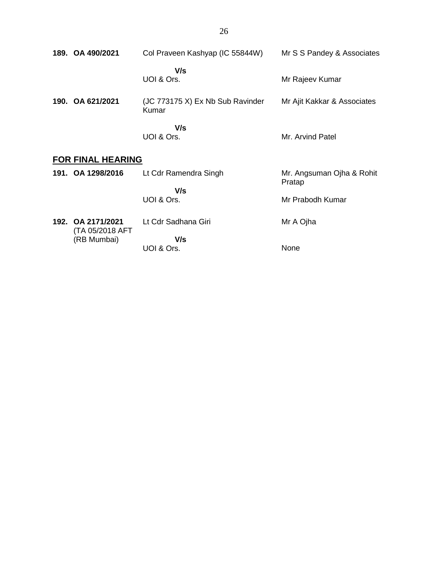|                     | 189. OA 490/2021 | Col Praveen Kashyap (IC 55844W)           | Mr S S Pandey & Associates  |
|---------------------|------------------|-------------------------------------------|-----------------------------|
|                     |                  | V/s<br>UOI & Ors.                         | Mr Rajeev Kumar             |
|                     | 190. OA 621/2021 | (JC 773175 X) Ex Nb Sub Ravinder<br>Kumar | Mr Ajit Kakkar & Associates |
|                     |                  | V/s<br>UOI & Ors.                         | Mr. Arvind Patel            |
| FAR FILLE LIFARILIA |                  |                                           |                             |

#### **FOR FINAL HEARING**

| 191. OA 1298/2016                    | Lt Cdr Ramendra Singh | Mr. Angsuman Ojha & Rohit<br>Pratap |
|--------------------------------------|-----------------------|-------------------------------------|
|                                      | V/s<br>UOI & Ors.     | Mr Prabodh Kumar                    |
| 192. OA 2171/2021<br>(TA 05/2018 AFT | Lt Cdr Sadhana Giri   | Mr A Ojha                           |
| (RB Mumbai)                          | V/s<br>UOI & Ors.     | None                                |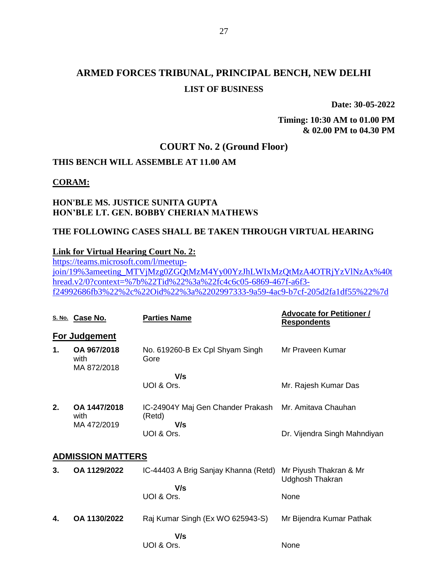**Date: 30-05-2022**

**Timing: 10:30 AM to 01.00 PM & 02.00 PM to 04.30 PM**

# **COURT No. 2 (Ground Floor)**

# **THIS BENCH WILL ASSEMBLE AT 11.00 AM**

## **CORAM:**

## **HON'BLE MS. JUSTICE SUNITA GUPTA HON'BLE LT. GEN. BOBBY CHERIAN MATHEWS**

## **THE FOLLOWING CASES SHALL BE TAKEN THROUGH VIRTUAL HEARING**

#### **Link for Virtual Hearing Court No. 2:**

[https://teams.microsoft.com/l/meetup](https://teams.microsoft.com/l/meetup-join/19%3ameeting_MTVjMzg0ZGQtMzM4Yy00YzJhLWIxMzQtMzA4OTRjYzVlNzAx%40thread.v2/0?context=%7b%22Tid%22%3a%22fc4c6c05-6869-467f-a6f3-f24992686fb3%22%2c%22Oid%22%3a%2202997333-9a59-4ac9-b7cf-205d2fa1df55%22%7d)[join/19%3ameeting\\_MTVjMzg0ZGQtMzM4Yy00YzJhLWIxMzQtMzA4OTRjYzVlNzAx%40t](https://teams.microsoft.com/l/meetup-join/19%3ameeting_MTVjMzg0ZGQtMzM4Yy00YzJhLWIxMzQtMzA4OTRjYzVlNzAx%40thread.v2/0?context=%7b%22Tid%22%3a%22fc4c6c05-6869-467f-a6f3-f24992686fb3%22%2c%22Oid%22%3a%2202997333-9a59-4ac9-b7cf-205d2fa1df55%22%7d) [hread.v2/0?context=%7b%22Tid%22%3a%22fc4c6c05-6869-467f-a6f3](https://teams.microsoft.com/l/meetup-join/19%3ameeting_MTVjMzg0ZGQtMzM4Yy00YzJhLWIxMzQtMzA4OTRjYzVlNzAx%40thread.v2/0?context=%7b%22Tid%22%3a%22fc4c6c05-6869-467f-a6f3-f24992686fb3%22%2c%22Oid%22%3a%2202997333-9a59-4ac9-b7cf-205d2fa1df55%22%7d) [f24992686fb3%22%2c%22Oid%22%3a%2202997333-9a59-4ac9-b7cf-205d2fa1df55%22%7d](https://teams.microsoft.com/l/meetup-join/19%3ameeting_MTVjMzg0ZGQtMzM4Yy00YzJhLWIxMzQtMzA4OTRjYzVlNzAx%40thread.v2/0?context=%7b%22Tid%22%3a%22fc4c6c05-6869-467f-a6f3-f24992686fb3%22%2c%22Oid%22%3a%2202997333-9a59-4ac9-b7cf-205d2fa1df55%22%7d)

| S. No. Case No.      | <b>Parties Name</b>                         | <b>Advocate for Petitioner /</b><br><b>Respondents</b>             |
|----------------------|---------------------------------------------|--------------------------------------------------------------------|
| For Judgement        |                                             |                                                                    |
| OA 967/2018<br>with  | No. 619260-B Ex Cpl Shyam Singh<br>Gore     | Mr Praveen Kumar                                                   |
|                      | V/s                                         |                                                                    |
|                      |                                             | Mr. Rajesh Kumar Das                                               |
| OA 1447/2018<br>with | IC-24904Y Maj Gen Chander Prakash<br>(Retd) | Mr. Amitava Chauhan                                                |
|                      | UOI & Ors.                                  | Dr. Vijendra Singh Mahndiyan                                       |
|                      |                                             |                                                                    |
| OA 1129/2022         | IC-44403 A Brig Sanjay Khanna (Retd)        | Mr Piyush Thakran & Mr<br><b>Udghosh Thakran</b>                   |
|                      |                                             | None                                                               |
|                      |                                             |                                                                    |
| OA 1130/2022         | Raj Kumar Singh (Ex WO 625943-S)            | Mr Bijendra Kumar Pathak                                           |
|                      | V/s                                         |                                                                    |
|                      | UOI & Ors.                                  | None                                                               |
|                      | MA 872/2018<br>MA 472/2019                  | UOI & Ors.<br>V/s<br><b>ADMISSION MATTERS</b><br>V/s<br>UOI & Ors. |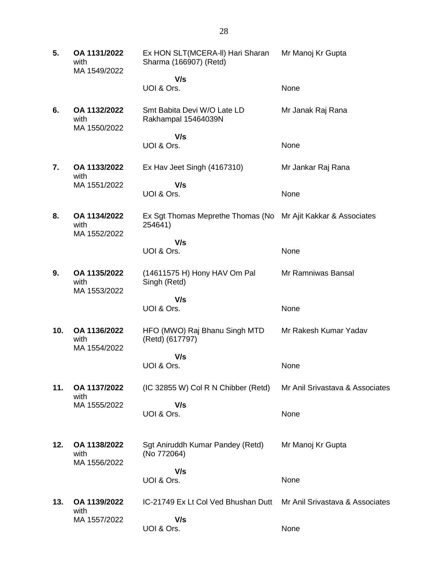| 5.  | OA 1131/2022<br>with<br>MA 1549/2022 | Ex HON SLT(MCERA-II) Hari Sharan<br>Sharma (166907) (Retd) | Mr Manoj Kr Gupta               |
|-----|--------------------------------------|------------------------------------------------------------|---------------------------------|
|     |                                      | V/s<br>UOI & Ors.                                          | None                            |
| 6.  | OA 1132/2022<br>with<br>MA 1550/2022 | Smt Babita Devi W/O Late LD<br>Rakhampal 15464039N         | Mr Janak Raj Rana               |
|     |                                      | V/s<br>UOI & Ors.                                          | None                            |
| 7.  | OA 1133/2022<br>with                 | Ex Hav Jeet Singh (4167310)                                | Mr Jankar Raj Rana              |
|     | MA 1551/2022                         | V/s<br>UOI & Ors.                                          | None                            |
| 8.  | OA 1134/2022<br>with                 | Ex Sgt Thomas Meprethe Thomas (No<br>254641)               | Mr Ajit Kakkar & Associates     |
|     | MA 1552/2022                         | V/s<br>UOI & Ors.                                          | None                            |
| 9.  | OA 1135/2022<br>with<br>MA 1553/2022 | (14611575 H) Hony HAV Om Pal<br>Singh (Retd)               | Mr Ramniwas Bansal              |
|     |                                      | V/s<br>UOI & Ors.                                          | None                            |
| 10. | OA 1136/2022<br>with                 | HFO (MWO) Raj Bhanu Singh MTD<br>(Retd) (617797)           | Mr Rakesh Kumar Yadav           |
|     | MA 1554/2022                         | V/s<br>UOI & Ors.                                          | None                            |
| 11. | OA 1137/2022<br>with                 | (IC 32855 W) Col R N Chibber (Retd)                        | Mr Anil Srivastava & Associates |
|     | MA 1555/2022                         | V/s<br>UOI & Ors.                                          | None                            |
| 12. | OA 1138/2022<br>with<br>MA 1556/2022 | Sgt Aniruddh Kumar Pandey (Retd)<br>(No 772064)            | Mr Manoj Kr Gupta               |
|     |                                      | V/s<br>UOI & Ors.                                          | None                            |
| 13. | OA 1139/2022<br>with                 | IC-21749 Ex Lt Col Ved Bhushan Dutt                        | Mr Anil Srivastava & Associates |
|     | MA 1557/2022                         | V/s<br>UOI & Ors.                                          | None                            |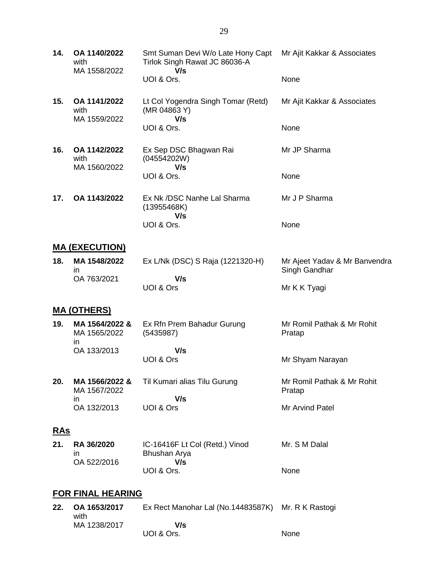- **14. OA 1140/2022** with MA 1558/2022 Smt Suman Devi W/o Late Hony Capt Tirlok Singh Rawat JC 86036-A  **V/s** UOI & Ors. Mr Ajit Kakkar & Associates None
- **15. OA 1141/2022** with MA 1559/2022 Lt Col Yogendra Singh Tomar (Retd) (MR 04863 Y)  **V/s** UOI & Ors. Mr Ajit Kakkar & Associates None
- **16. OA 1142/2022** with MA 1560/2022 Ex Sep DSC Bhagwan Rai (04554202W)  **V/s** UOI & Ors. Mr JP Sharma None **17. OA 1143/2022** Ex Nk /DSC Nanhe Lal Sharma Mr J P Sharma
- (13955468K)  **V/s** UOI & Ors. None

#### **MA (EXECUTION)**

| 18. | MA 1548/2022<br>ın | Ex L/Nk (DSC) S Raja (1221320-H) | Mr Ajeet Yadav & Mr Banvendra<br>Singh Gandhar |
|-----|--------------------|----------------------------------|------------------------------------------------|
|     | OA 763/2021        | V/s                              |                                                |
|     |                    | UOI & Ors                        | Mr K K Tyagi                                   |

#### **MA (OTHERS)**

| 19. | MA 1564/2022 &<br>MA 1565/2022 | Ex Rfn Prem Bahadur Gurung<br>(5435987) | Mr Romil Pathak & Mr Rohit<br>Pratap |
|-----|--------------------------------|-----------------------------------------|--------------------------------------|
|     | ın<br>OA 133/2013              | V/s                                     |                                      |
|     |                                | UOI & Ors                               | Mr Shyam Narayan                     |
|     |                                |                                         |                                      |

**20. MA 1566/2022 &** MA 1567/2022 in OA 132/2013 Til Kumari alias Tilu Gurung  **V/s** UOI & Ors Mr Romil Pathak & Mr Rohit Pratap Mr Arvind Patel

# **RAs**

| 21. | RA 36/2020<br>ın | IC-16416F Lt Col (Retd.) Vinod<br>Bhushan Arya | Mr. S M Dalal |
|-----|------------------|------------------------------------------------|---------------|
|     | OA 522/2016      | V/s                                            |               |
|     |                  | UOI & Ors.                                     | <b>None</b>   |

## **FOR FINAL HEARING**

**22. OA 1653/2017** with MA 1238/2017 Ex Rect Manohar Lal (No.14483587K) Mr. R K Rastogi  **V/s** UOI & Ors. None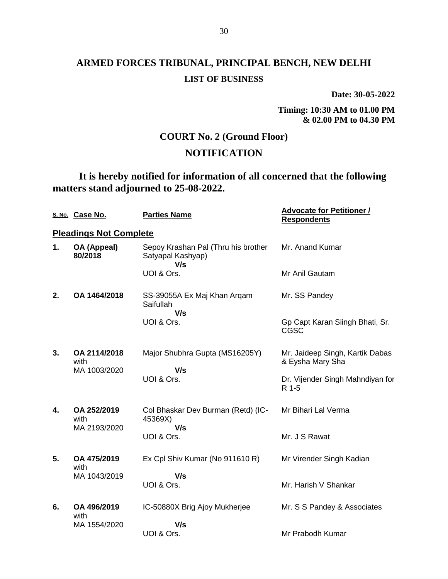# **ARMED FORCES TRIBUNAL, PRINCIPAL BENCH, NEW DELHI LIST OF BUSINESS**

**Date: 30-05-2022**

**Timing: 10:30 AM to 01.00 PM & 02.00 PM to 04.30 PM**

# **COURT No. 2 (Ground Floor)**

# **NOTIFICATION**

**It is hereby notified for information of all concerned that the following matters stand adjourned to 25-08-2022.**

|    | S. No. Case No.                     | <b>Parties Name</b>                                             | <b>Advocate for Petitioner /</b><br><b>Respondents</b> |
|----|-------------------------------------|-----------------------------------------------------------------|--------------------------------------------------------|
|    | <b>Pleadings Not Complete</b>       |                                                                 |                                                        |
| 1. | OA (Appeal)<br>80/2018              | Sepoy Krashan Pal (Thru his brother<br>Satyapal Kashyap)<br>V/s | Mr. Anand Kumar                                        |
|    |                                     | UOI & Ors.                                                      | Mr Anil Gautam                                         |
| 2. | OA 1464/2018                        | SS-39055A Ex Maj Khan Arqam<br>Saifullah<br>V/s                 | Mr. SS Pandey                                          |
|    |                                     | UOI & Ors.                                                      | Gp Capt Karan Siingh Bhati, Sr.<br>CGSC                |
| 3. | OA 2114/2018<br>with                | Major Shubhra Gupta (MS16205Y)                                  | Mr. Jaideep Singh, Kartik Dabas<br>& Eysha Mary Sha    |
|    | MA 1003/2020                        | V/s<br>UOI & Ors.                                               | Dr. Vijender Singh Mahndiyan for<br>R 1-5              |
| 4. | OA 252/2019<br>with<br>MA 2193/2020 | Col Bhaskar Dev Burman (Retd) (IC-<br>45369X)<br>V/s            | Mr Bihari Lal Verma                                    |
|    |                                     | UOI & Ors.                                                      | Mr. J S Rawat                                          |
| 5. | OA 475/2019<br>with                 | Ex Cpl Shiv Kumar (No 911610 R)                                 | Mr Virender Singh Kadian                               |
|    | MA 1043/2019                        | V/s<br>UOI & Ors.                                               | Mr. Harish V Shankar                                   |
| 6. | OA 496/2019<br>with                 | IC-50880X Brig Ajoy Mukherjee                                   | Mr. S S Pandey & Associates                            |
|    | MA 1554/2020                        | V/s<br>UOI & Ors.                                               |                                                        |
|    |                                     |                                                                 | Mr Prabodh Kumar                                       |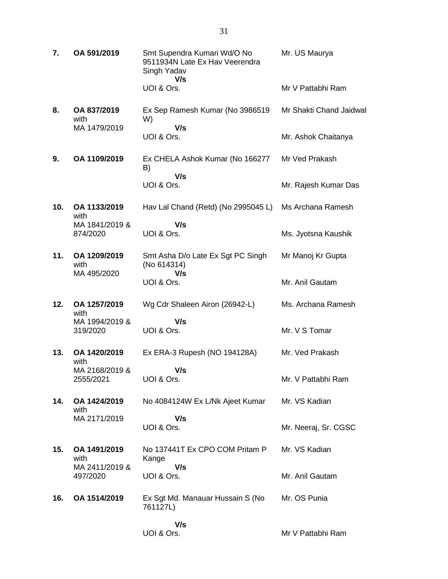| 7.  | OA 591/2019                         | Smt Supendra Kumari Wd/O No<br>9511934N Late Ex Hav Veerendra<br>Singh Yadav | Mr. US Maurya           |
|-----|-------------------------------------|------------------------------------------------------------------------------|-------------------------|
|     |                                     | V/s<br>UOI & Ors.                                                            | Mr V Pattabhi Ram       |
| 8.  | OA 837/2019<br>with                 | Ex Sep Ramesh Kumar (No 3986519<br>W)                                        | Mr Shakti Chand Jaidwal |
|     | MA 1479/2019                        | V/s<br>UOI & Ors.                                                            | Mr. Ashok Chaitanya     |
| 9.  | OA 1109/2019                        | Ex CHELA Ashok Kumar (No 166277<br>B)                                        | Mr Ved Prakash          |
|     |                                     | V/s<br>UOI & Ors.                                                            | Mr. Rajesh Kumar Das    |
| 10. | OA 1133/2019<br>with                | Hav Lal Chand (Retd) (No 2995045 L)                                          | Ms Archana Ramesh       |
|     | MA 1841/2019 &<br>874/2020          | V/s<br>UOI & Ors.                                                            | Ms. Jyotsna Kaushik     |
| 11. | OA 1209/2019<br>with<br>MA 495/2020 | Smt Asha D/o Late Ex Sgt PC Singh<br>(No 614314)<br>V/s                      | Mr Manoj Kr Gupta       |
|     |                                     | UOI & Ors.                                                                   | Mr. Anil Gautam         |
| 12. | OA 1257/2019<br>with                | Wg Cdr Shaleen Airon (26942-L)                                               | Ms. Archana Ramesh      |
|     | MA 1994/2019 &<br>319/2020          | V/s<br>UOI & Ors.                                                            | Mr. V S Tomar           |
| 13. | OA 1420/2019<br>with                | Ex ERA-3 Rupesh (NO 194128A)                                                 | Mr. Ved Prakash         |
|     | MA 2168/2019 &<br>2555/2021         | V/s<br>UOI & Ors.                                                            | Mr. V Pattabhi Ram      |
| 14. | OA 1424/2019<br>with                | No 4084124W Ex L/Nk Ajeet Kumar                                              | Mr. VS Kadian           |
|     | MA 2171/2019                        | V/s<br>UOI & Ors.                                                            | Mr. Neeraj, Sr. CGSC    |
| 15. | OA 1491/2019<br>with                | No 137441T Ex CPO COM Pritam P<br>Kange                                      | Mr. VS Kadian           |
|     | MA 2411/2019 &<br>497/2020          | V/s<br>UOI & Ors.                                                            | Mr. Anil Gautam         |
| 16. | OA 1514/2019                        | Ex Sgt Md. Manauar Hussain S (No<br>761127L)                                 | Mr. OS Punia            |
|     |                                     | V/s<br>UOI & Ors.                                                            | Mr V Pattabhi Ram       |
|     |                                     |                                                                              |                         |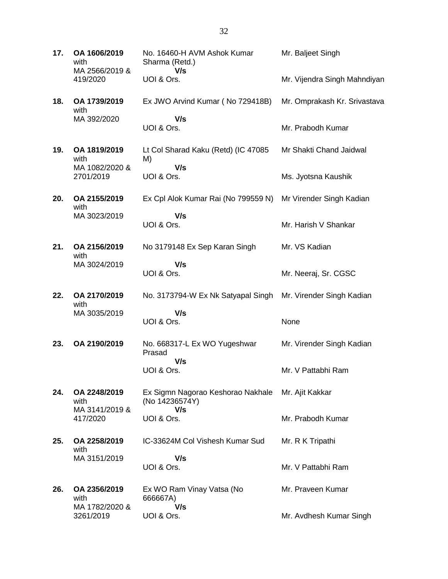**17. OA 1606/2019** with MA 2566/2019 & 419/2020 No. 16460-H AVM Ashok Kumar Sharma (Retd.)  **V/s** UOI & Ors. Mr. Baljeet Singh Mr. Vijendra Singh Mahndiyan **18. OA 1739/2019** with MA 392/2020 Ex JWO Arvind Kumar ( No 729418B)  **V/s** UOI & Ors. Mr. Omprakash Kr. Srivastava Mr. Prabodh Kumar **19. OA 1819/2019** with MA 1082/2020 & 2701/2019 Lt Col Sharad Kaku (Retd) (IC 47085 M)  **V/s** UOI & Ors. Mr Shakti Chand Jaidwal Ms. Jyotsna Kaushik **20. OA 2155/2019** with MA 3023/2019 Ex Cpl Alok Kumar Rai (No 799559 N)  **V/s** UOI & Ors. Mr Virender Singh Kadian Mr. Harish V Shankar **21. OA 2156/2019** with MA 3024/2019 No 3179148 Ex Sep Karan Singh  **V/s** UOI & Ors. Mr. VS Kadian Mr. Neeraj, Sr. CGSC **22. OA 2170/2019** with MA 3035/2019 No. 3173794-W Ex Nk Satyapal Singh  **V/s** UOI & Ors. Mr. Virender Singh Kadian None **23. OA 2190/2019** No. 668317-L Ex WO Yugeshwar Prasad  **V/s** UOI & Ors. Mr. Virender Singh Kadian Mr. V Pattabhi Ram **24. OA 2248/2019** with MA 3141/2019 & 417/2020 Ex Sigmn Nagorao Keshorao Nakhale (No 14236574Y)  **V/s** UOI & Ors. Mr. Ajit Kakkar Mr. Prabodh Kumar **25. OA 2258/2019** with MA 3151/2019 IC-33624M Col Vishesh Kumar Sud  **V/s** UOI & Ors. Mr. R K Tripathi Mr. V Pattabhi Ram **26. OA 2356/2019** with MA 1782/2020 & 3261/2019 Ex WO Ram Vinay Vatsa (No 666667A)  **V/s** UOI & Ors. Mr. Praveen Kumar Mr. Avdhesh Kumar Singh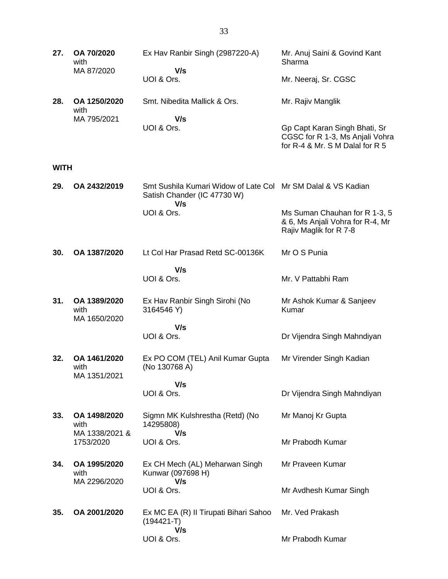| 27.         | OA 70/2020<br>with                   | Ex Hav Ranbir Singh (2987220-A)<br>V/s                                                             | Mr. Anuj Saini & Govind Kant<br>Sharma                                                              |
|-------------|--------------------------------------|----------------------------------------------------------------------------------------------------|-----------------------------------------------------------------------------------------------------|
|             | MA 87/2020                           | UOI & Ors.                                                                                         | Mr. Neeraj, Sr. CGSC                                                                                |
| 28.         | OA 1250/2020<br>with                 | Smt. Nibedita Mallick & Ors.                                                                       | Mr. Rajiv Manglik                                                                                   |
|             | MA 795/2021                          | V/s<br>UOI & Ors.                                                                                  | Gp Capt Karan Singh Bhati, Sr<br>CGSC for R 1-3, Ms Anjali Vohra<br>for R-4 & Mr. S M Dalal for R 5 |
| <b>WITH</b> |                                      |                                                                                                    |                                                                                                     |
| 29.         | OA 2432/2019                         | Smt Sushila Kumari Widow of Late Col Mr SM Dalal & VS Kadian<br>Satish Chander (IC 47730 W)<br>V/s |                                                                                                     |
|             |                                      | UOI & Ors.                                                                                         | Ms Suman Chauhan for R 1-3, 5<br>& 6, Ms Anjali Vohra for R-4, Mr<br>Rajiv Maglik for R 7-8         |
| 30.         | OA 1387/2020                         | Lt Col Har Prasad Retd SC-00136K                                                                   | Mr O S Punia                                                                                        |
|             |                                      | V/s<br>UOI & Ors.                                                                                  | Mr. V Pattabhi Ram                                                                                  |
| 31.         | OA 1389/2020<br>with                 | Ex Hav Ranbir Singh Sirohi (No<br>3164546 Y)                                                       | Mr Ashok Kumar & Sanjeev<br>Kumar                                                                   |
|             | MA 1650/2020                         | V/s                                                                                                |                                                                                                     |
|             |                                      | UOI & Ors.                                                                                         | Dr Vijendra Singh Mahndiyan                                                                         |
| 32.         | OA 1461/2020<br>with<br>MA 1351/2021 | Ex PO COM (TEL) Anil Kumar Gupta<br>(No 130768 A)                                                  | Mr Virender Singh Kadian                                                                            |
|             |                                      | V/s<br>UOI & Ors.                                                                                  | Dr Vijendra Singh Mahndiyan                                                                         |
| 33.         | OA 1498/2020<br>with                 | Sigmn MK Kulshrestha (Retd) (No<br>14295808)<br>V/s                                                | Mr Manoj Kr Gupta                                                                                   |
|             | MA 1338/2021 &<br>1753/2020          | UOI & Ors.                                                                                         | Mr Prabodh Kumar                                                                                    |
| 34.         | OA 1995/2020<br>with<br>MA 2296/2020 | Ex CH Mech (AL) Meharwan Singh<br>Kunwar (097698 H)<br>V/s                                         | Mr Praveen Kumar                                                                                    |
|             |                                      | UOI & Ors.                                                                                         | Mr Avdhesh Kumar Singh                                                                              |
| 35.         | OA 2001/2020                         | Ex MC EA (R) Il Tirupati Bihari Sahoo<br>$(194421 - T)$<br>V/s                                     | Mr. Ved Prakash                                                                                     |
|             |                                      | UOI & Ors.                                                                                         | Mr Prabodh Kumar                                                                                    |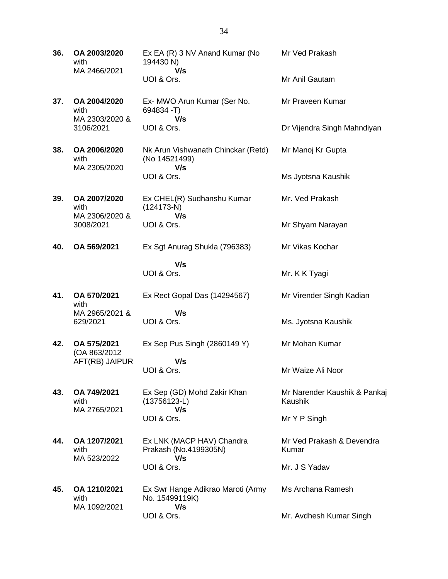| 36. | OA 2003/2020<br>with                   | Ex EA (R) 3 NV Anand Kumar (No<br>194430 N)                | Mr Ved Prakash                          |
|-----|----------------------------------------|------------------------------------------------------------|-----------------------------------------|
|     | MA 2466/2021                           | V/s<br>UOI & Ors.                                          | Mr Anil Gautam                          |
| 37. | OA 2004/2020<br>with<br>MA 2303/2020 & | Ex- MWO Arun Kumar (Ser No.<br>694834 - T)<br>V/s          | Mr Praveen Kumar                        |
|     | 3106/2021                              | UOI & Ors.                                                 | Dr Vijendra Singh Mahndiyan             |
| 38. | OA 2006/2020<br>with<br>MA 2305/2020   | Nk Arun Vishwanath Chinckar (Retd)<br>(No 14521499)<br>V/s | Mr Manoj Kr Gupta                       |
|     |                                        | UOI & Ors.                                                 | Ms Jyotsna Kaushik                      |
| 39. | OA 2007/2020<br>with<br>MA 2306/2020 & | Ex CHEL(R) Sudhanshu Kumar<br>$(124173-N)$<br>V/s          | Mr. Ved Prakash                         |
|     | 3008/2021                              | UOI & Ors.                                                 | Mr Shyam Narayan                        |
| 40. | OA 569/2021                            | Ex Sgt Anurag Shukla (796383)                              | Mr Vikas Kochar                         |
|     |                                        | V/s<br>UOI & Ors.                                          | Mr. K K Tyagi                           |
| 41. | OA 570/2021<br>with                    | Ex Rect Gopal Das (14294567)                               | Mr Virender Singh Kadian                |
|     | MA 2965/2021 &<br>629/2021             | V/s<br>UOI & Ors.                                          | Ms. Jyotsna Kaushik                     |
| 42. | OA 575/2021<br>(OA 863/2012)           | Ex Sep Pus Singh (2860149 Y)                               | Mr Mohan Kumar                          |
|     | AFT(RB) JAIPUR                         | V/s<br>UOI & Ors.                                          | Mr Waize Ali Noor                       |
| 43. | OA 749/2021<br>with                    | Ex Sep (GD) Mohd Zakir Khan<br>$(13756123-L)$              | Mr Narender Kaushik & Pankaj<br>Kaushik |
|     | MA 2765/2021                           | V/s<br>UOI & Ors.                                          | Mr Y P Singh                            |
| 44. | OA 1207/2021<br>with<br>MA 523/2022    | Ex LNK (MACP HAV) Chandra<br>Prakash (No.4199305N)<br>V/s  | Mr Ved Prakash & Devendra<br>Kumar      |
|     |                                        | UOI & Ors.                                                 | Mr. J S Yadav                           |
| 45. | OA 1210/2021<br>with<br>MA 1092/2021   | Ex Swr Hange Adikrao Maroti (Army<br>No. 15499119K)<br>V/s | Ms Archana Ramesh                       |
|     |                                        | UOI & Ors.                                                 | Mr. Avdhesh Kumar Singh                 |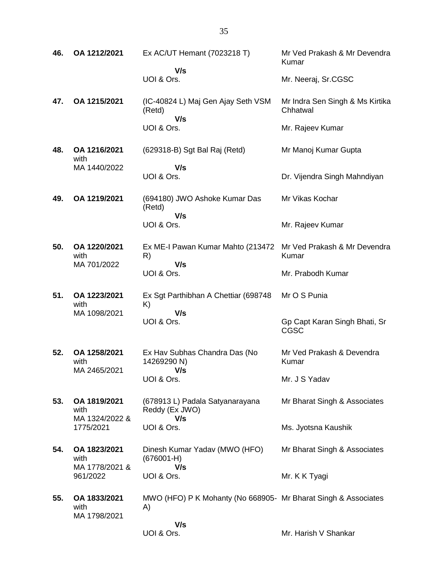| 46. | OA 1212/2021                         | Ex AC/UT Hemant (7023218 T)                                          | Mr Ved Prakash & Mr Devendra<br>Kumar       |
|-----|--------------------------------------|----------------------------------------------------------------------|---------------------------------------------|
|     |                                      | V/s<br>UOI & Ors.                                                    | Mr. Neeraj, Sr.CGSC                         |
| 47. | OA 1215/2021                         | (IC-40824 L) Maj Gen Ajay Seth VSM<br>(Retd)                         | Mr Indra Sen Singh & Ms Kirtika<br>Chhatwal |
|     |                                      | V/s<br>UOI & Ors.                                                    | Mr. Rajeev Kumar                            |
| 48. | OA 1216/2021<br>with                 | (629318-B) Sgt Bal Raj (Retd)                                        | Mr Manoj Kumar Gupta                        |
|     | MA 1440/2022                         | V/s<br>UOI & Ors.                                                    | Dr. Vijendra Singh Mahndiyan                |
| 49. | OA 1219/2021                         | (694180) JWO Ashoke Kumar Das<br>(Retd)                              | Mr Vikas Kochar                             |
|     |                                      | V/s<br>UOI & Ors.                                                    | Mr. Rajeev Kumar                            |
| 50. | OA 1220/2021<br>with                 | Ex ME-I Pawan Kumar Mahto (213472 Mr Ved Prakash & Mr Devendra<br>R) | Kumar                                       |
|     | MA 701/2022                          | V/s<br>UOI & Ors.                                                    | Mr. Prabodh Kumar                           |
| 51. | OA 1223/2021<br>with                 | Ex Sgt Parthibhan A Chettiar (698748)<br>K)                          | Mr O S Punia                                |
|     | MA 1098/2021                         | V/s<br>UOI & Ors.                                                    | Gp Capt Karan Singh Bhati, Sr<br>CGSC       |
| 52. | OA 1258/2021<br>with                 | Ex Hav Subhas Chandra Das (No<br>14269290 N)                         | Mr Ved Prakash & Devendra<br>Kumar          |
|     | MA 2465/2021                         | V/s<br>UOI & Ors.                                                    | Mr. J S Yadav                               |
| 53. | OA 1819/2021<br>with                 | (678913 L) Padala Satyanarayana<br>Reddy (Ex JWO)                    | Mr Bharat Singh & Associates                |
|     | MA 1324/2022 &<br>1775/2021          | V/s<br>UOI & Ors.                                                    | Ms. Jyotsna Kaushik                         |
| 54. | OA 1823/2021<br>with                 | Dinesh Kumar Yadav (MWO (HFO)<br>$(676001-H)$                        | Mr Bharat Singh & Associates                |
|     | MA 1778/2021 &<br>961/2022           | V/s<br>UOI & Ors.                                                    | Mr. K K Tyagi                               |
| 55. | OA 1833/2021<br>with<br>MA 1798/2021 | MWO (HFO) P K Mohanty (No 668905- Mr Bharat Singh & Associates<br>A) |                                             |
|     |                                      | V/s<br>UOI & Ors.                                                    | Mr. Harish V Shankar                        |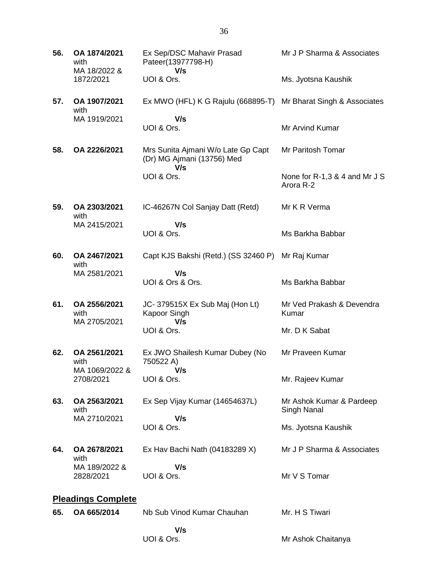| 56. | OA 1874/2021<br>with<br>MA 18/2022 &   | Ex Sep/DSC Mahavir Prasad<br>Pateer(13977798-H)<br>V/s                  | Mr J P Sharma & Associates                   |
|-----|----------------------------------------|-------------------------------------------------------------------------|----------------------------------------------|
|     | 1872/2021                              | UOI & Ors.                                                              | Ms. Jyotsna Kaushik                          |
| 57. | OA 1907/2021<br>with                   | Ex MWO (HFL) K G Rajulu (668895-T) Mr Bharat Singh & Associates         |                                              |
|     | MA 1919/2021                           | V/s<br>UOI & Ors.                                                       | Mr Arvind Kumar                              |
| 58. | OA 2226/2021                           | Mrs Sunita Ajmani W/o Late Gp Capt<br>(Dr) MG Ajmani (13756) Med<br>V/s | Mr Paritosh Tomar                            |
|     |                                        | UOI & Ors.                                                              | None for $R-1,3,8,4$ and Mr J S<br>Arora R-2 |
| 59. | OA 2303/2021<br>with                   | IC-46267N Col Sanjay Datt (Retd)                                        | Mr K R Verma                                 |
|     | MA 2415/2021                           | V/s<br>UOI & Ors.                                                       | Ms Barkha Babbar                             |
| 60. | OA 2467/2021<br>with                   | Capt KJS Bakshi (Retd.) (SS 32460 P)                                    | Mr Raj Kumar                                 |
|     | MA 2581/2021                           | V/s<br>UOI & Ors & Ors.                                                 | Ms Barkha Babbar                             |
| 61. | OA 2556/2021<br>with<br>MA 2705/2021   | JC-379515X Ex Sub Maj (Hon Lt)<br>Kapoor Singh<br>V/s                   | Mr Ved Prakash & Devendra<br>Kumar           |
|     |                                        | UOI & Ors.                                                              | Mr. D K Sabat                                |
| 62. | OA 2561/2021<br>with<br>MA 1069/2022 & | Ex JWO Shailesh Kumar Dubey (No<br>750522 A)<br>V/s                     | Mr Praveen Kumar                             |
|     | 2708/2021                              | UOI & Ors.                                                              | Mr. Rajeev Kumar                             |
| 63. | OA 2563/2021<br>with                   | Ex Sep Vijay Kumar (14654637L)                                          | Mr Ashok Kumar & Pardeep<br>Singh Nanal      |
|     | MA 2710/2021                           | V/s<br>UOI & Ors.                                                       | Ms. Jyotsna Kaushik                          |
| 64. | OA 2678/2021<br>with                   | Ex Hav Bachi Nath (04183289 X)                                          | Mr J P Sharma & Associates                   |
|     | MA 189/2022 &<br>2828/2021             | V/s<br>UOI & Ors.                                                       | Mr V S Tomar                                 |
|     | <b>Pleadings Complete</b>              |                                                                         |                                              |
| 65. | OA 665/2014                            | Nb Sub Vinod Kumar Chauhan                                              | Mr. H S Tiwari                               |
|     |                                        | V/s<br>UOI & Ors.                                                       | Mr Ashok Chaitanya                           |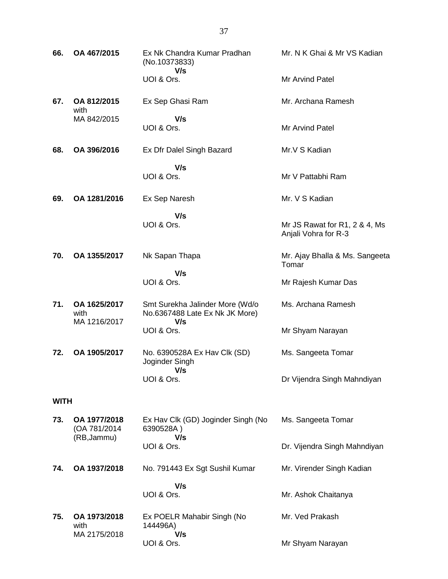| 66. | OA 467/2015                                 | Ex Nk Chandra Kumar Pradhan<br>(No.10373833)<br>V/s                      | Mr. N K Ghai & Mr VS Kadian                           |  |  |
|-----|---------------------------------------------|--------------------------------------------------------------------------|-------------------------------------------------------|--|--|
|     |                                             | UOI & Ors.                                                               | Mr Arvind Patel                                       |  |  |
| 67. | OA 812/2015<br>with                         | Ex Sep Ghasi Ram                                                         | Mr. Archana Ramesh                                    |  |  |
|     | MA 842/2015                                 | V/s<br>UOI & Ors.                                                        | Mr Arvind Patel                                       |  |  |
| 68. | OA 396/2016                                 | Ex Dfr Dalel Singh Bazard                                                | Mr.V S Kadian                                         |  |  |
|     |                                             | V/s<br>UOI & Ors.                                                        | Mr V Pattabhi Ram                                     |  |  |
| 69. | OA 1281/2016                                | Ex Sep Naresh                                                            | Mr. V S Kadian                                        |  |  |
|     |                                             | V/s<br>UOI & Ors.                                                        | Mr JS Rawat for R1, 2 & 4, Ms<br>Anjali Vohra for R-3 |  |  |
| 70. | OA 1355/2017                                | Nk Sapan Thapa                                                           | Mr. Ajay Bhalla & Ms. Sangeeta<br>Tomar               |  |  |
|     |                                             | V/s<br>UOI & Ors.                                                        | Mr Rajesh Kumar Das                                   |  |  |
| 71. | OA 1625/2017<br>with<br>MA 1216/2017        | Smt Surekha Jalinder More (Wd/o<br>No.6367488 Late Ex Nk JK More)<br>V/s | Ms. Archana Ramesh                                    |  |  |
|     |                                             | UOI & Ors.                                                               | Mr Shyam Narayan                                      |  |  |
| 72. | OA 1905/2017                                | No. 6390528A Ex Hav Clk (SD)<br>Joginder Singh<br>V/s                    | Ms. Sangeeta Tomar                                    |  |  |
|     |                                             | UOI & Ors.                                                               | Dr Vijendra Singh Mahndiyan                           |  |  |
|     | <b>WITH</b>                                 |                                                                          |                                                       |  |  |
| 73. | OA 1977/2018<br>(OA 781/2014<br>(RB, Jammu) | Ex Hav Clk (GD) Joginder Singh (No<br>6390528A)<br>V/s                   | Ms. Sangeeta Tomar                                    |  |  |
|     |                                             | UOI & Ors.                                                               | Dr. Vijendra Singh Mahndiyan                          |  |  |
| 74. | OA 1937/2018                                | No. 791443 Ex Sgt Sushil Kumar                                           | Mr. Virender Singh Kadian                             |  |  |
|     |                                             | V/s<br>UOI & Ors.                                                        | Mr. Ashok Chaitanya                                   |  |  |
| 75. | OA 1973/2018<br>with                        | Ex POELR Mahabir Singh (No<br>144496A)                                   | Mr. Ved Prakash                                       |  |  |
|     | MA 2175/2018                                | V/s<br>UOI & Ors.                                                        | Mr Shyam Narayan                                      |  |  |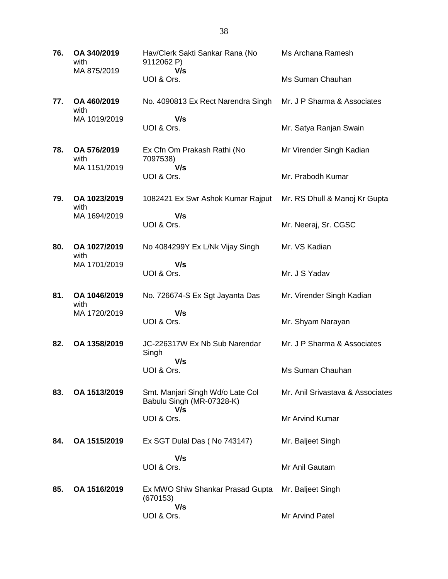**76. OA 340/2019** with MA 875/2019 Hav/Clerk Sakti Sankar Rana (No 9112062 P)  **V/s** UOI & Ors. Ms Archana Ramesh Ms Suman Chauhan **77. OA 460/2019** with MA 1019/2019 No. 4090813 Ex Rect Narendra Singh  **V/s** UOI & Ors. Mr. J P Sharma & Associates Mr. Satya Ranjan Swain **78. OA 576/2019** with MA 1151/2019 Ex Cfn Om Prakash Rathi (No 7097538)  **V/s** UOI & Ors. Mr Virender Singh Kadian Mr. Prabodh Kumar **79. OA 1023/2019** with MA 1694/2019 1082421 Ex Swr Ashok Kumar Rajput  **V/s** UOI & Ors. Mr. RS Dhull & Manoj Kr Gupta Mr. Neeraj, Sr. CGSC **80. OA 1027/2019** with MA 1701/2019 No 4084299Y Ex L/Nk Vijay Singh  **V/s** UOI & Ors. Mr. VS Kadian Mr. J S Yadav **81. OA 1046/2019** with MA 1720/2019 No. 726674-S Ex Sgt Jayanta Das  **V/s** UOI & Ors. Mr. Virender Singh Kadian Mr. Shyam Narayan **82. OA 1358/2019** JC-226317W Ex Nb Sub Narendar Singh  **V/s** UOI & Ors. Mr. J P Sharma & Associates Ms Suman Chauhan **83. OA 1513/2019** Smt. Manjari Singh Wd/o Late Col Babulu Singh (MR-07328-K)  **V/s** UOI & Ors. Mr. Anil Srivastava & Associates Mr Arvind Kumar **84. OA 1515/2019** Ex SGT Dulal Das ( No 743147)  **V/s** UOI & Ors. Mr. Baljeet Singh Mr Anil Gautam **85. OA 1516/2019** Ex MWO Shiw Shankar Prasad Gupta (670153)  **V/s** UOI & Ors. Mr. Baljeet Singh Mr Arvind Patel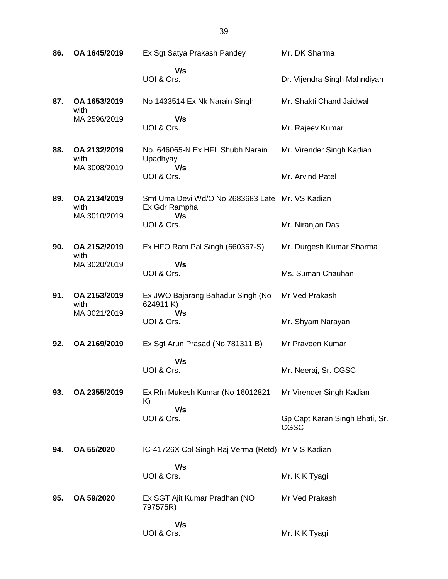| 86. | OA 1645/2019                         | Ex Sgt Satya Prakash Pandey                                             | Mr. DK Sharma                                 |
|-----|--------------------------------------|-------------------------------------------------------------------------|-----------------------------------------------|
|     |                                      | V/s<br>UOI & Ors.                                                       | Dr. Vijendra Singh Mahndiyan                  |
| 87. | OA 1653/2019<br>with                 | No 1433514 Ex Nk Narain Singh                                           | Mr. Shakti Chand Jaidwal                      |
|     | MA 2596/2019                         | V/s<br>UOI & Ors.                                                       | Mr. Rajeev Kumar                              |
| 88. | OA 2132/2019<br>with<br>MA 3008/2019 | No. 646065-N Ex HFL Shubh Narain<br>Upadhyay<br>V/s                     | Mr. Virender Singh Kadian                     |
|     |                                      | UOI & Ors.                                                              | Mr. Arvind Patel                              |
| 89. | OA 2134/2019<br>with                 | Smt Uma Devi Wd/O No 2683683 Late Mr. VS Kadian<br>Ex Gdr Rampha<br>V/s |                                               |
|     | MA 3010/2019                         | UOI & Ors.                                                              | Mr. Niranjan Das                              |
| 90. | OA 2152/2019<br>with                 | Ex HFO Ram Pal Singh (660367-S)                                         | Mr. Durgesh Kumar Sharma                      |
|     | MA 3020/2019                         | V/s<br>UOI & Ors.                                                       | Ms. Suman Chauhan                             |
| 91. | OA 2153/2019<br>with<br>MA 3021/2019 | Ex JWO Bajarang Bahadur Singh (No<br>624911 K)<br>V/s                   | Mr Ved Prakash                                |
|     |                                      | UOI & Ors.                                                              | Mr. Shyam Narayan                             |
| 92. | OA 2169/2019                         | Ex Sgt Arun Prasad (No 781311 B)                                        | Mr Praveen Kumar                              |
|     |                                      | V/s<br>UOI & Ors.                                                       | Mr. Neeraj, Sr. CGSC                          |
| 93. | OA 2355/2019                         | Ex Rfn Mukesh Kumar (No 16012821<br>K)                                  | Mr Virender Singh Kadian                      |
|     |                                      | V/s<br>UOI & Ors.                                                       | Gp Capt Karan Singh Bhati, Sr.<br><b>CGSC</b> |
| 94. | OA 55/2020                           | IC-41726X Col Singh Raj Verma (Retd) Mr V S Kadian                      |                                               |
|     |                                      | V/s<br>UOI & Ors.                                                       | Mr. K K Tyagi                                 |
| 95. | OA 59/2020                           | Ex SGT Ajit Kumar Pradhan (NO<br>797575R)                               | Mr Ved Prakash                                |
|     |                                      | V/s<br>UOI & Ors.                                                       | Mr. K K Tyagi                                 |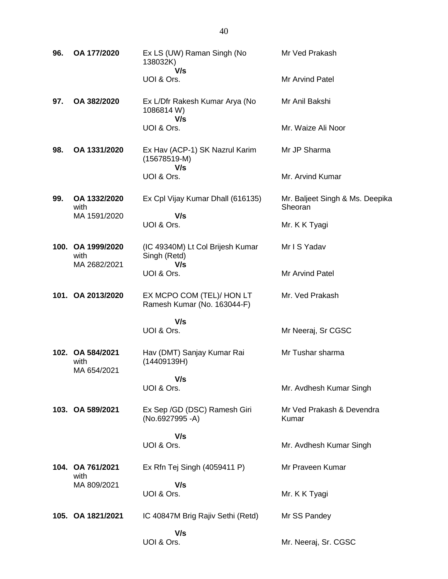| 96. | OA 177/2020                             | Ex LS (UW) Raman Singh (No<br>138032K)<br>V/s            | Mr Ved Prakash                             |
|-----|-----------------------------------------|----------------------------------------------------------|--------------------------------------------|
|     |                                         | UOI & Ors.                                               | Mr Arvind Patel                            |
| 97. | OA 382/2020                             | Ex L/Dfr Rakesh Kumar Arya (No<br>1086814 W)<br>V/s      | Mr Anil Bakshi                             |
|     |                                         | UOI & Ors.                                               | Mr. Waize Ali Noor                         |
| 98. | OA 1331/2020                            | Ex Hav (ACP-1) SK Nazrul Karim<br>$(15678519-M)$<br>V/s  | Mr JP Sharma                               |
|     |                                         | UOI & Ors.                                               | Mr. Arvind Kumar                           |
| 99. | OA 1332/2020<br>with                    | Ex Cpl Vijay Kumar Dhall (616135)                        | Mr. Baljeet Singh & Ms. Deepika<br>Sheoran |
|     | MA 1591/2020                            | V/s<br>UOI & Ors.                                        | Mr. K K Tyagi                              |
|     | 100. OA 1999/2020<br>with               | (IC 49340M) Lt Col Brijesh Kumar<br>Singh (Retd)         | Mr I S Yadav                               |
|     | MA 2682/2021                            | V/s<br>UOI & Ors.                                        | Mr Arvind Patel                            |
|     | 101. OA 2013/2020                       | EX MCPO COM (TEL)/ HON LT<br>Ramesh Kumar (No. 163044-F) | Mr. Ved Prakash                            |
|     |                                         | V/s                                                      |                                            |
|     |                                         | UOI & Ors.                                               | Mr Neeraj, Sr CGSC                         |
|     | 102. OA 584/2021<br>with<br>MA 654/2021 | Hav (DMT) Sanjay Kumar Rai<br>(14409139H)                | Mr Tushar sharma                           |
|     |                                         | V/s                                                      |                                            |
|     |                                         | UOI & Ors.                                               | Mr. Avdhesh Kumar Singh                    |
|     | 103. OA 589/2021                        | Ex Sep / GD (DSC) Ramesh Giri<br>(No.6927995 -A)         | Mr Ved Prakash & Devendra<br>Kumar         |
|     |                                         | V/s                                                      |                                            |
|     |                                         | UOI & Ors.                                               | Mr. Avdhesh Kumar Singh                    |
|     | 104. OA 761/2021<br>with                | Ex Rfn Tej Singh (4059411 P)                             | Mr Praveen Kumar                           |
|     | MA 809/2021                             | V/s                                                      |                                            |
|     |                                         | UOI & Ors.                                               | Mr. K K Tyagi                              |
|     | 105. OA 1821/2021                       | IC 40847M Brig Rajiv Sethi (Retd)                        | Mr SS Pandey                               |
|     |                                         | V/s                                                      |                                            |
|     |                                         | UOI & Ors.                                               | Mr. Neeraj, Sr. CGSC                       |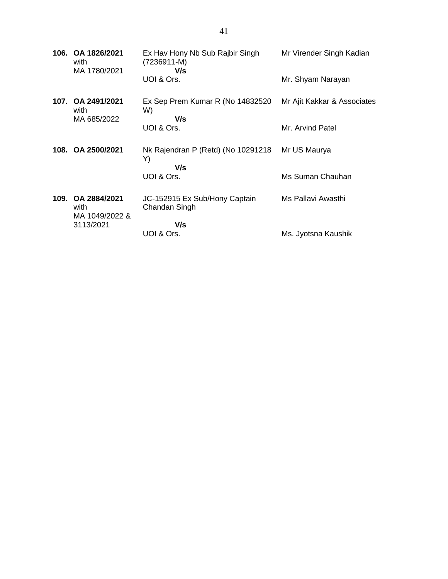|      | 106. OA 1826/2021<br>with<br>MA 1780/2021 | Ex Hav Hony Nb Sub Rajbir Singh<br>(7236911-M)<br>V/s | Mr Virender Singh Kadian    |
|------|-------------------------------------------|-------------------------------------------------------|-----------------------------|
|      |                                           | UOI & Ors.                                            | Mr. Shyam Narayan           |
|      | 107. OA 2491/2021<br>with<br>MA 685/2022  | Ex Sep Prem Kumar R (No 14832520<br>W)<br>V/s         | Mr Ajit Kakkar & Associates |
|      |                                           | UOI & Ors.                                            | Mr. Arvind Patel            |
|      | 108. OA 2500/2021                         | Nk Rajendran P (Retd) (No 10291218<br>Y)<br>V/s       | Mr US Maurya                |
|      |                                           | UOI & Ors.                                            | Ms Suman Chauhan            |
| 109. | OA 2884/2021<br>with<br>MA 1049/2022 &    | JC-152915 Ex Sub/Hony Captain<br>Chandan Singh        | Ms Pallavi Awasthi          |
|      | 3113/2021                                 | V/s<br>UOI & Ors.                                     | Ms. Jyotsna Kaushik         |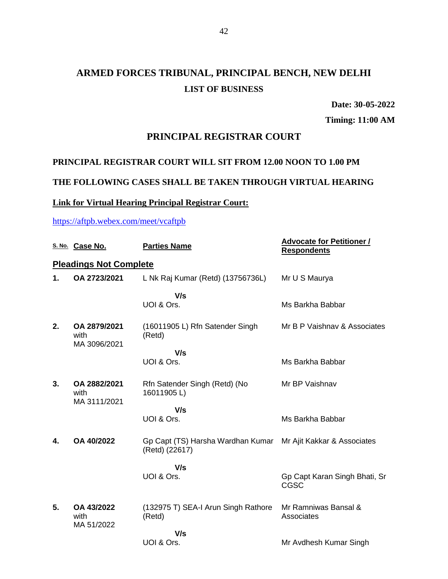# **ARMED FORCES TRIBUNAL, PRINCIPAL BENCH, NEW DELHI LIST OF BUSINESS**

**Date: 30-05-2022**

**Timing: 11:00 AM**

## **PRINCIPAL REGISTRAR COURT**

# **PRINCIPAL REGISTRAR COURT WILL SIT FROM 12.00 NOON TO 1.00 PM**

## **THE FOLLOWING CASES SHALL BE TAKEN THROUGH VIRTUAL HEARING**

# **Link for Virtual Hearing Principal Registrar Court:**

#### <https://aftpb.webex.com/meet/vcaftpb>

|    | S. No. Case No.                      | <b>Parties Name</b>                                                             | <b>Advocate for Petitioner /</b><br><b>Respondents</b> |
|----|--------------------------------------|---------------------------------------------------------------------------------|--------------------------------------------------------|
|    | <b>Pleadings Not Complete</b>        |                                                                                 |                                                        |
| 1. | OA 2723/2021                         | L Nk Raj Kumar (Retd) (13756736L)                                               | Mr U S Maurya                                          |
|    |                                      | V/s<br>UOI & Ors.                                                               | Ms Barkha Babbar                                       |
| 2. | OA 2879/2021<br>with<br>MA 3096/2021 | (16011905 L) Rfn Satender Singh<br>(Retd)                                       | Mr B P Vaishnay & Associates                           |
|    |                                      | V/s                                                                             |                                                        |
|    |                                      | UOI & Ors.                                                                      | Ms Barkha Babbar                                       |
| 3. | OA 2882/2021<br>with<br>MA 3111/2021 | Rfn Satender Singh (Retd) (No<br>16011905L)                                     | Mr BP Vaishnav                                         |
|    |                                      | V/s                                                                             |                                                        |
|    |                                      | UOI & Ors.                                                                      | Ms Barkha Babbar                                       |
| 4. | OA 40/2022                           | Gp Capt (TS) Harsha Wardhan Kumar Mr Ajit Kakkar & Associates<br>(Retd) (22617) |                                                        |
|    |                                      | V/s<br>UOI & Ors.                                                               | Gp Capt Karan Singh Bhati, Sr<br>CGSC                  |
| 5. | OA 43/2022<br>with<br>MA 51/2022     | (132975 T) SEA-I Arun Singh Rathore<br>(Retd)                                   | Mr Ramniwas Bansal &<br>Associates                     |
|    |                                      | V/s                                                                             |                                                        |
|    |                                      | UOI & Ors.                                                                      | Mr Avdhesh Kumar Singh                                 |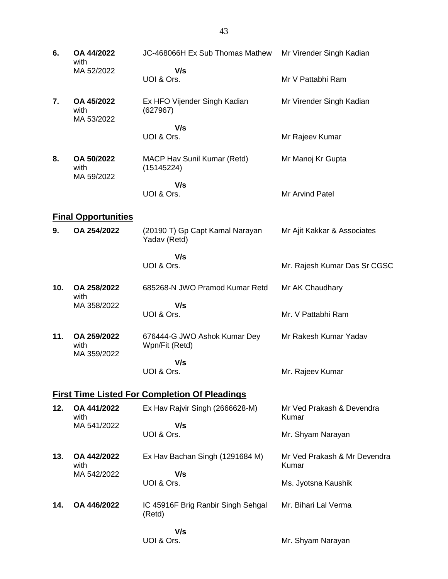**6. OA 44/2022** with MA 52/2022 JC-468066H Ex Sub Thomas Mathew  **V/s** UOI & Ors. Mr Virender Singh Kadian Mr V Pattabhi Ram **7. OA 45/2022** with MA 53/2022 Ex HFO Vijender Singh Kadian (627967)  **V/s** UOI & Ors. Mr Virender Singh Kadian Mr Rajeev Kumar **8. OA 50/2022** with MA 59/2022 MACP Hav Sunil Kumar (Retd) (15145224)  **V/s** UOI & Ors. Mr Manoj Kr Gupta Mr Arvind Patel **Final Opportunities 9. OA 254/2022** (20190 T) Gp Capt Kamal Narayan Yadav (Retd)  **V/s** UOI & Ors. Mr Ajit Kakkar & Associates Mr. Rajesh Kumar Das Sr CGSC **10. OA 258/2022** with MA 358/2022 685268-N JWO Pramod Kumar Retd  **V/s** UOI & Ors. Mr AK Chaudhary Mr. V Pattabhi Ram **11. OA 259/2022** with MA 359/2022 676444-G JWO Ashok Kumar Dey Wpn/Fit (Retd)  **V/s** UOI & Ors. Mr Rakesh Kumar Yadav Mr. Rajeev Kumar **First Time Listed For Completion Of Pleadings 12. OA 441/2022** with MA 541/2022 Ex Hav Rajvir Singh (2666628-M)  **V/s** UOI & Ors. Mr Ved Prakash & Devendra Kumar Mr. Shyam Narayan **13. OA 442/2022** with MA 542/2022 Ex Hav Bachan Singh (1291684 M)  **V/s** UOI & Ors. Mr Ved Prakash & Mr Devendra Kumar Ms. Jyotsna Kaushik **14. OA 446/2022** IC 45916F Brig Ranbir Singh Sehgal (Retd)  **V/s** Mr. Bihari Lal Verma

Mr. Shyam Narayan

UOI & Ors.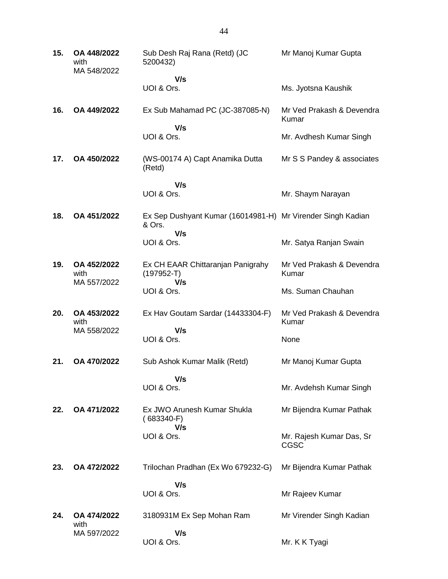| 15. | OA 448/2022<br>with<br>MA 548/2022 | Sub Desh Raj Rana (Retd) (JC<br>5200432)                                     | Mr Manoj Kumar Gupta                    |
|-----|------------------------------------|------------------------------------------------------------------------------|-----------------------------------------|
|     |                                    | V/s<br>UOI & Ors.                                                            | Ms. Jyotsna Kaushik                     |
| 16. | OA 449/2022                        | Ex Sub Mahamad PC (JC-387085-N)                                              | Mr Ved Prakash & Devendra<br>Kumar      |
|     |                                    | V/s<br>UOI & Ors.                                                            | Mr. Avdhesh Kumar Singh                 |
| 17. | OA 450/2022                        | (WS-00174 A) Capt Anamika Dutta<br>(Retd)                                    | Mr S S Pandey & associates              |
|     |                                    | V/s                                                                          |                                         |
|     |                                    | UOI & Ors.                                                                   | Mr. Shaym Narayan                       |
| 18. | OA 451/2022                        | Ex Sep Dushyant Kumar (16014981-H) Mr Virender Singh Kadian<br>& Ors.<br>V/s |                                         |
|     |                                    | UOI & Ors.                                                                   | Mr. Satya Ranjan Swain                  |
| 19. | OA 452/2022<br>with                | Ex CH EAAR Chittaranjan Panigrahy<br>$(197952-T)$                            | Mr Ved Prakash & Devendra<br>Kumar      |
|     | MA 557/2022                        | V/s<br>UOI & Ors.                                                            | Ms. Suman Chauhan                       |
| 20. | OA 453/2022<br>with                | Ex Hav Goutam Sardar (14433304-F)                                            | Mr Ved Prakash & Devendra<br>Kumar      |
|     | MA 558/2022                        | V/s<br>UOI & Ors.                                                            | None                                    |
| 21. | OA 470/2022                        | Sub Ashok Kumar Malik (Retd)                                                 | Mr Manoj Kumar Gupta                    |
|     |                                    | V/s<br>UOI & Ors.                                                            | Mr. Avdehsh Kumar Singh                 |
| 22. | OA 471/2022                        | Ex JWO Arunesh Kumar Shukla                                                  |                                         |
|     |                                    | $(683340-F)$<br>V/s                                                          | Mr Bijendra Kumar Pathak                |
|     |                                    | UOI & Ors.                                                                   | Mr. Rajesh Kumar Das, Sr<br><b>CGSC</b> |
| 23. | OA 472/2022                        | Trilochan Pradhan (Ex Wo 679232-G)                                           | Mr Bijendra Kumar Pathak                |
|     |                                    | V/s                                                                          |                                         |
|     |                                    | UOI & Ors.                                                                   | Mr Rajeev Kumar                         |
| 24. | OA 474/2022<br>with                | 3180931M Ex Sep Mohan Ram                                                    | Mr Virender Singh Kadian                |
|     | MA 597/2022                        | V/s<br>UOI & Ors.                                                            | Mr. K K Tyagi                           |